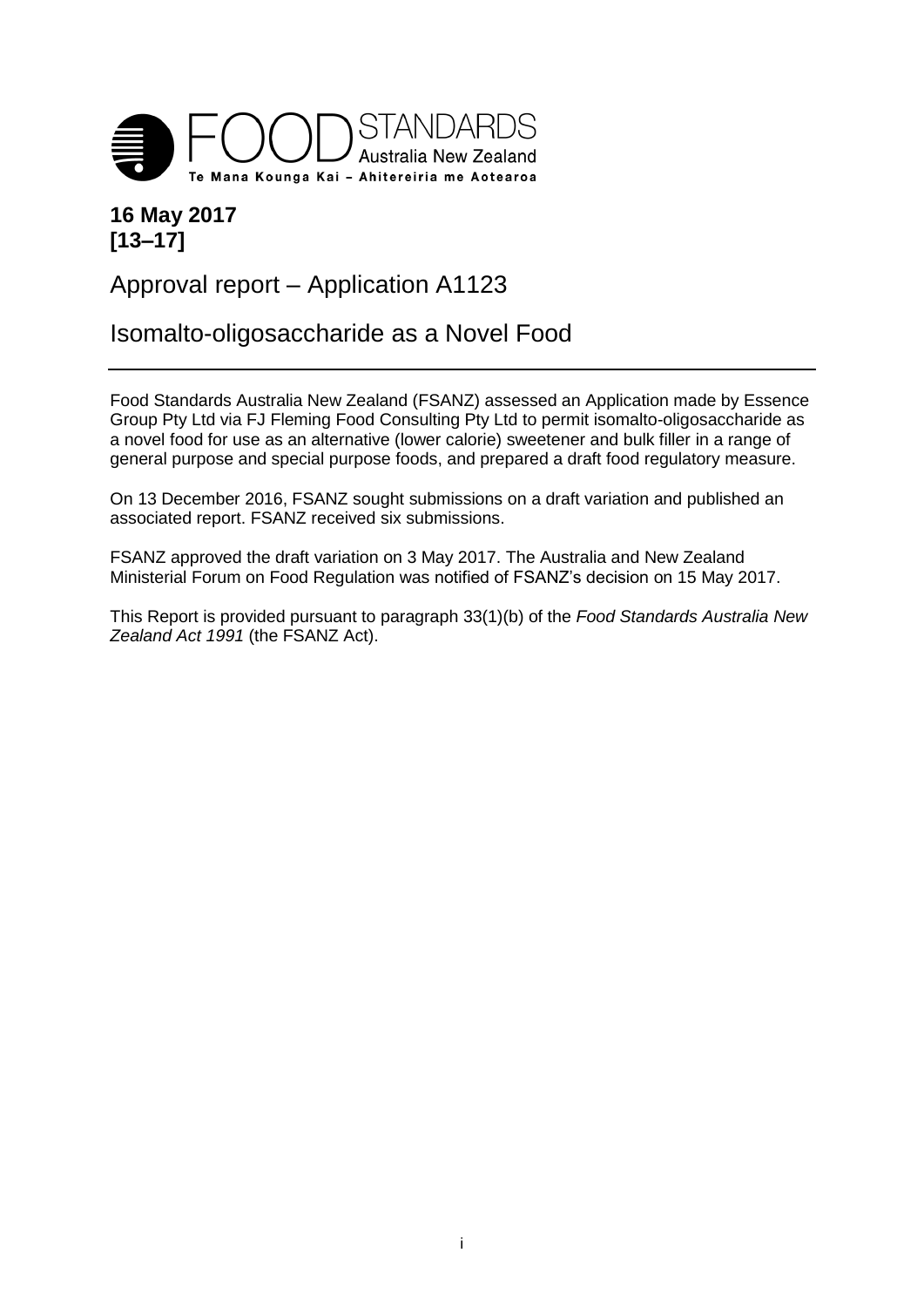

### **16 May 2017 [13–17]**

## Approval report – Application A1123

## Isomalto-oligosaccharide as a Novel Food

Food Standards Australia New Zealand (FSANZ) assessed an Application made by Essence Group Pty Ltd via FJ Fleming Food Consulting Pty Ltd to permit isomalto-oligosaccharide as a novel food for use as an alternative (lower calorie) sweetener and bulk filler in a range of general purpose and special purpose foods, and prepared a draft food regulatory measure.

On 13 December 2016, FSANZ sought submissions on a draft variation and published an associated report. FSANZ received six submissions.

FSANZ approved the draft variation on 3 May 2017. The Australia and New Zealand Ministerial Forum on Food Regulation was notified of FSANZ's decision on 15 May 2017.

This Report is provided pursuant to paragraph 33(1)(b) of the *Food Standards Australia New Zealand Act 1991* (the FSANZ Act).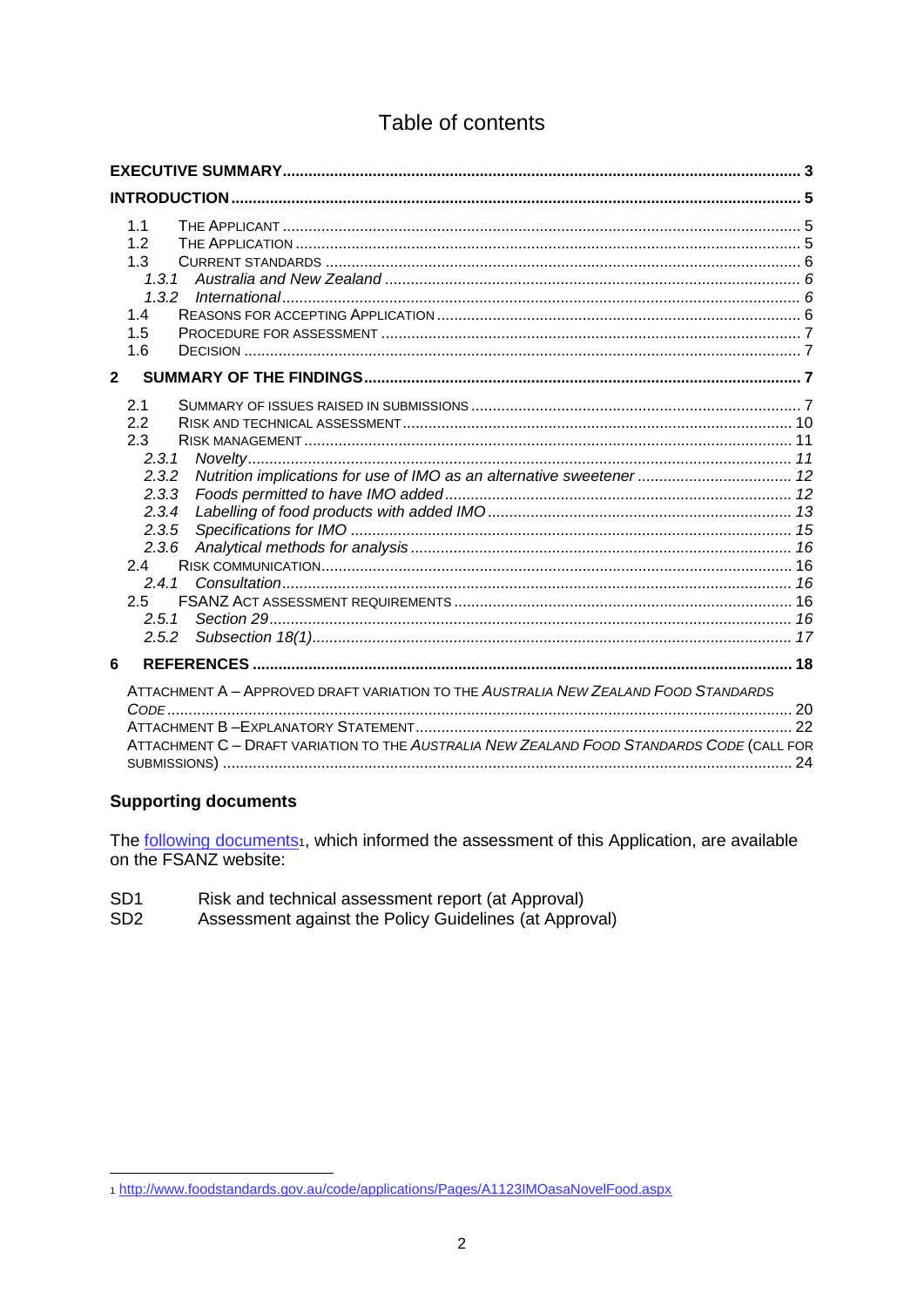### Table of contents

|              | 1.1<br>1.2<br>1.3<br>1.3.1<br>1.3.2<br>1.4<br>1.5<br>1.6                                                                                                                               |  |  |  |  |
|--------------|----------------------------------------------------------------------------------------------------------------------------------------------------------------------------------------|--|--|--|--|
| $\mathbf{2}$ |                                                                                                                                                                                        |  |  |  |  |
|              | 2.1<br>2.2<br>2.3<br>2.3.1<br>Nutrition implications for use of IMO as an alternative sweetener  12<br>2.3.2<br>2.3.3<br>2.3.4<br>2.3.5<br>2.3.6<br>24<br>241<br>2.5<br>2.5.1<br>2.5.2 |  |  |  |  |
| 6            |                                                                                                                                                                                        |  |  |  |  |
|              | ATTACHMENT A - APPROVED DRAFT VARIATION TO THE AUSTRALIA NEW ZEALAND FOOD STANDARDS<br>ATTACHMENT C - DRAFT VARIATION TO THE AUSTRALIA NEW ZEALAND FOOD STANDARDS CODE (CALL FOR       |  |  |  |  |

#### **Supporting documents**

The following documents<sup>1</sup>, which informed the assessment of this Application, are available on the FSANZ website:

- SD<sub>1</sub> Risk and technical assessment report (at Approval)
- Assessment against the Policy Guidelines (at Approval) SD<sub>2</sub>

<sup>1</sup> http://www.foodstandards.gov.au/code/applications/Pages/A1123IMOasaNovelFood.aspx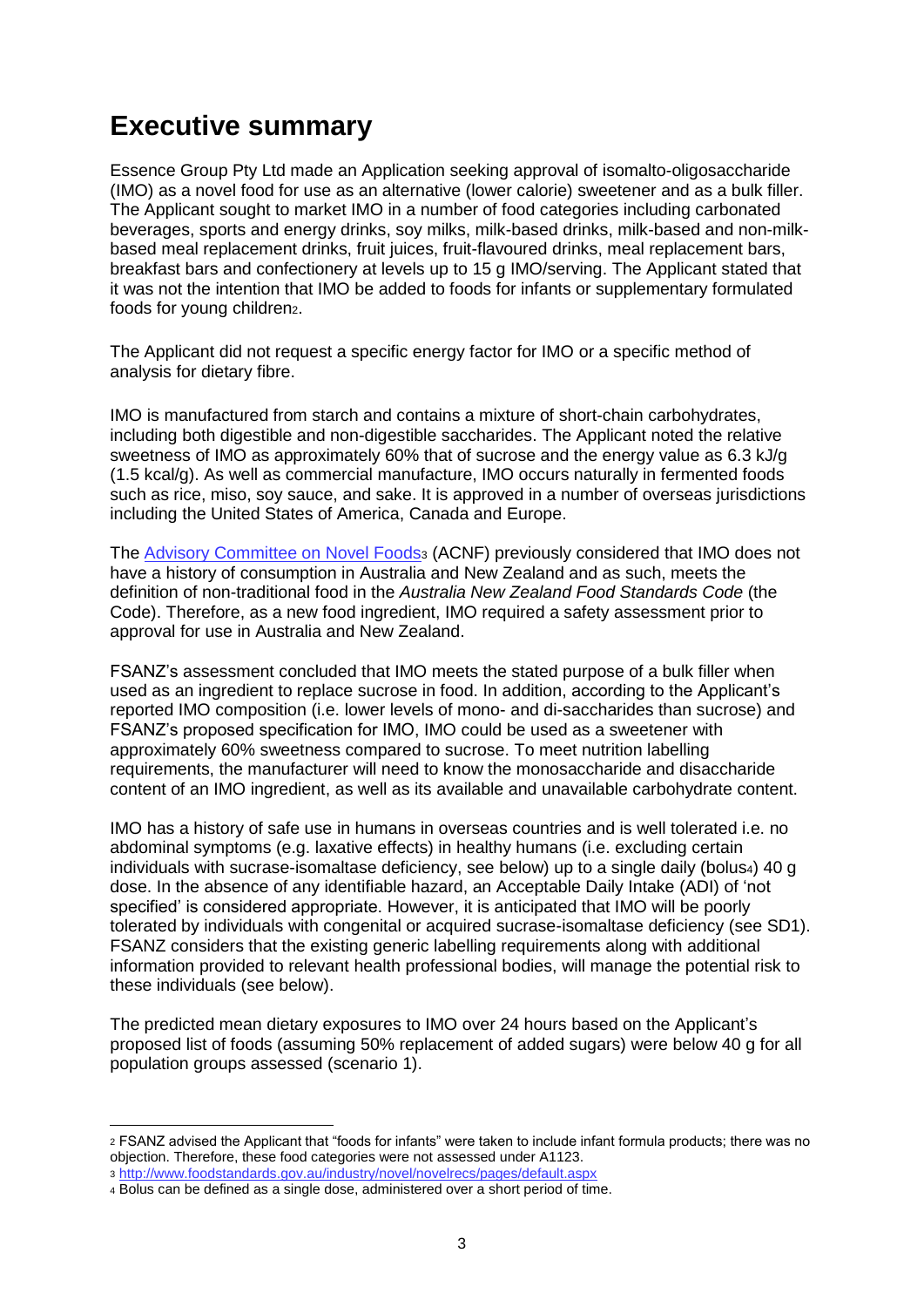# <span id="page-2-0"></span>**Executive summary**

Essence Group Pty Ltd made an Application seeking approval of isomalto-oligosaccharide (IMO) as a novel food for use as an alternative (lower calorie) sweetener and as a bulk filler. The Applicant sought to market IMO in a number of food categories including carbonated beverages, sports and energy drinks, soy milks, milk-based drinks, milk-based and non-milkbased meal replacement drinks, fruit juices, fruit-flavoured drinks, meal replacement bars, breakfast bars and confectionery at levels up to 15 g IMO/serving. The Applicant stated that it was not the intention that IMO be added to foods for infants or supplementary formulated foods for young children2.

The Applicant did not request a specific energy factor for IMO or a specific method of analysis for dietary fibre.

IMO is manufactured from starch and contains a mixture of short-chain [carbohydrates,](https://en.wikipedia.org/wiki/Carbohydrate) including both digestible and non-digestible saccharides. The Applicant noted the relative sweetness of IMO as approximately 60% that of sucrose and the energy value as 6.3 kJ/g (1.5 kcal/g). As well as commercial manufacture, IMO occurs naturally in fermented foods such as rice, miso, soy sauce, and sake. It is approved in a number of overseas jurisdictions including the United States of America, Canada and Europe.

The [Advisory Committee on Novel Foods](http://www.foodstandards.gov.au/industry/novel/novelrecs/pages/default.aspx)<sup>3</sup> (ACNF) previously considered that IMO does not have a history of consumption in Australia and New Zealand and as such, meets the definition of non-traditional food in the *Australia New Zealand Food Standards Code* (the Code). Therefore, as a new food ingredient, IMO required a safety assessment prior to approval for use in Australia and New Zealand.

FSANZ's assessment concluded that IMO meets the stated purpose of a bulk filler when used as an ingredient to replace sucrose in food. In addition, according to the Applicant's reported IMO composition (i.e. lower levels of mono- and di-saccharides than sucrose) and FSANZ's proposed specification for IMO, IMO could be used as a sweetener with approximately 60% sweetness compared to sucrose. To meet nutrition labelling requirements, the manufacturer will need to know the monosaccharide and disaccharide content of an IMO ingredient, as well as its available and unavailable carbohydrate content.

IMO has a history of safe use in humans in overseas countries and is well tolerated i.e. no abdominal symptoms (e.g. laxative effects) in healthy humans (i.e. excluding certain individuals with sucrase-isomaltase deficiency, see below) up to a single daily (bolus4) 40 g dose. In the absence of any identifiable hazard, an Acceptable Daily Intake (ADI) of 'not specified' is considered appropriate. However, it is anticipated that IMO will be poorly tolerated by individuals with congenital or acquired sucrase-isomaltase deficiency (see SD1). FSANZ considers that the existing generic labelling requirements along with additional information provided to relevant health professional bodies, will manage the potential risk to these individuals (see below).

The predicted mean dietary exposures to IMO over 24 hours based on the Applicant's proposed list of foods (assuming 50% replacement of added sugars) were below 40 g for all population groups assessed (scenario 1).

<sup>2</sup> FSANZ advised the Applicant that "foods for infants" were taken to include infant formula products; there was no objection. Therefore, these food categories were not assessed under A1123.

<sup>3</sup> <http://www.foodstandards.gov.au/industry/novel/novelrecs/pages/default.aspx>

<sup>4</sup> Bolus can be defined as a single dose, administered over a short period of time.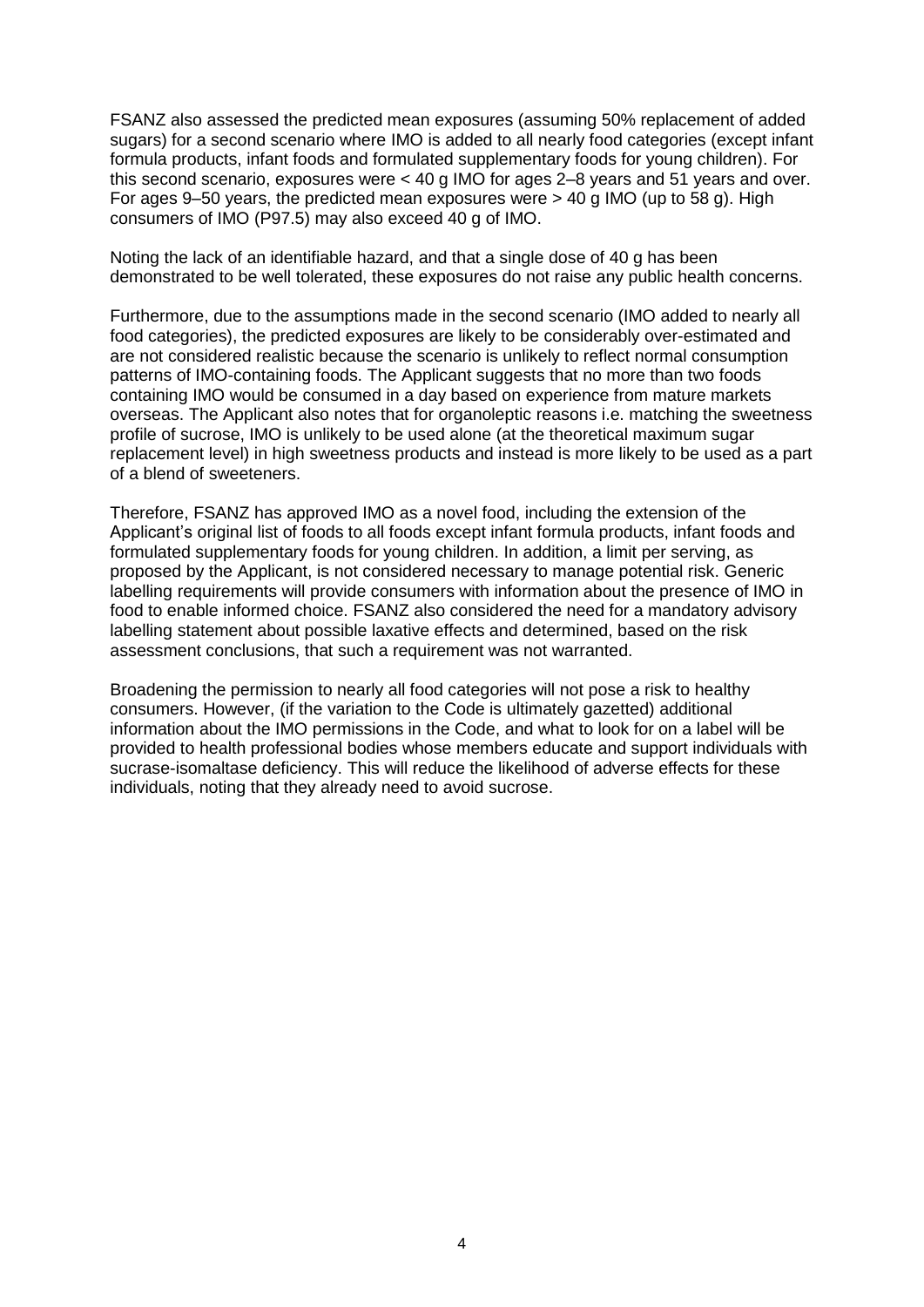FSANZ also assessed the predicted mean exposures (assuming 50% replacement of added sugars) for a second scenario where IMO is added to all nearly food categories (except infant formula products, infant foods and formulated supplementary foods for young children). For this second scenario, exposures were < 40 g IMO for ages 2–8 years and 51 years and over. For ages 9–50 years, the predicted mean exposures were > 40 g IMO (up to 58 g). High consumers of IMO (P97.5) may also exceed 40 g of IMO.

Noting the lack of an identifiable hazard, and that a single dose of 40 g has been demonstrated to be well tolerated, these exposures do not raise any public health concerns.

Furthermore, due to the assumptions made in the second scenario (IMO added to nearly all food categories), the predicted exposures are likely to be considerably over-estimated and are not considered realistic because the scenario is unlikely to reflect normal consumption patterns of IMO-containing foods. The Applicant suggests that no more than two foods containing IMO would be consumed in a day based on experience from mature markets overseas. The Applicant also notes that for organoleptic reasons i.e. matching the sweetness profile of sucrose, IMO is unlikely to be used alone (at the theoretical maximum sugar replacement level) in high sweetness products and instead is more likely to be used as a part of a blend of sweeteners.

Therefore, FSANZ has approved IMO as a novel food, including the extension of the Applicant's original list of foods to all foods except infant formula products, infant foods and formulated supplementary foods for young children. In addition, a limit per serving, as proposed by the Applicant, is not considered necessary to manage potential risk. Generic labelling requirements will provide consumers with information about the presence of IMO in food to enable informed choice. FSANZ also considered the need for a mandatory advisory labelling statement about possible laxative effects and determined, based on the risk assessment conclusions, that such a requirement was not warranted.

Broadening the permission to nearly all food categories will not pose a risk to healthy consumers. However, (if the variation to the Code is ultimately gazetted) additional information about the IMO permissions in the Code, and what to look for on a label will be provided to health professional bodies whose members educate and support individuals with sucrase-isomaltase deficiency. This will reduce the likelihood of adverse effects for these individuals, noting that they already need to avoid sucrose.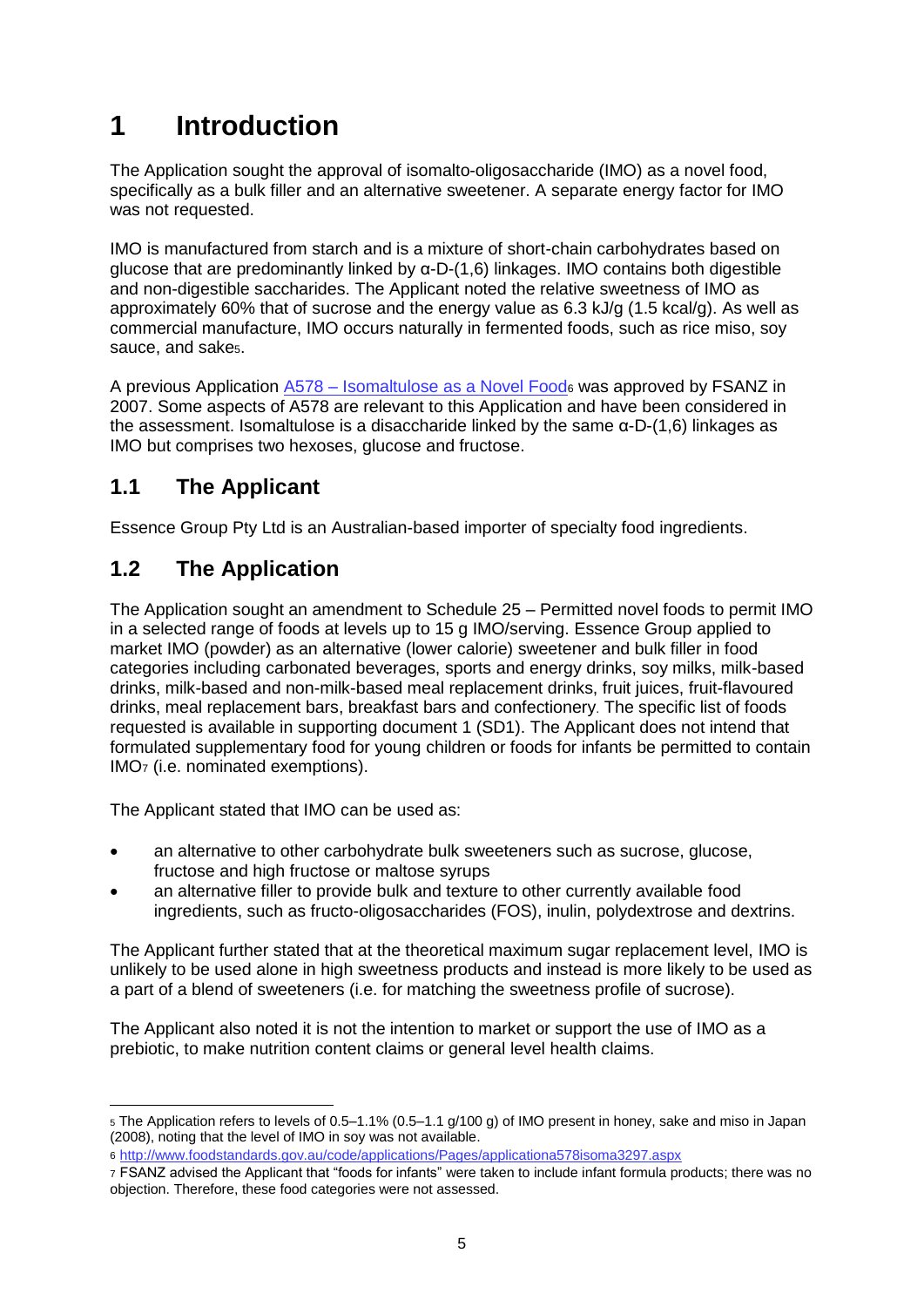# <span id="page-4-0"></span>**1 Introduction**

The Application sought the approval of isomalto-oligosaccharide (IMO) as a novel food, specifically as a bulk filler and an alternative sweetener. A separate energy factor for IMO was not requested.

IMO is manufactured from starch and is a mixture of short-chain [carbohydrates](https://en.wikipedia.org/wiki/Carbohydrate) based on glucose that are predominantly linked by α-D-(1,6) linkages. IMO contains both digestible and non-digestible saccharides. The Applicant noted the relative sweetness of IMO as approximately 60% that of sucrose and the energy value as 6.3 kJ/g (1.5 kcal/g). As well as commercial manufacture, IMO occurs naturally in fermented foods, such as rice miso, soy sauce, and sakes.

A previous Application A578 – [Isomaltulose as a Novel Food](http://www.foodstandards.gov.au/code/applications/Pages/applicationa578isoma3297.aspx)<sup>6</sup> was approved by FSANZ in 2007. Some aspects of A578 are relevant to this Application and have been considered in the assessment. Isomaltulose is a disaccharide linked by the same α-D-(1,6) linkages as IMO but comprises two hexoses, glucose and fructose.

### <span id="page-4-1"></span>**1.1 The Applicant**

Essence Group Pty Ltd is an Australian-based importer of specialty food ingredients.

## <span id="page-4-2"></span>**1.2 The Application**

The Application sought an amendment to Schedule 25 – Permitted novel foods to permit IMO in a selected range of foods at levels up to 15 g IMO/serving. Essence Group applied to market IMO (powder) as an alternative (lower calorie) sweetener and bulk filler in food categories including carbonated beverages, sports and energy drinks, soy milks, milk-based drinks, milk-based and non-milk-based meal replacement drinks, fruit juices, fruit-flavoured drinks, meal replacement bars, breakfast bars and confectionery. The specific list of foods requested is available in supporting document 1 (SD1). The Applicant does not intend that formulated supplementary food for young children or foods for infants be permitted to contain IMO<sup>7</sup> (i.e. nominated exemptions).

The Applicant stated that IMO can be used as:

- an alternative to other carbohydrate bulk sweeteners such as sucrose, glucose, fructose and high fructose or maltose syrups
- an alternative filler to provide bulk and texture to other currently available food ingredients, such as fructo-oligosaccharides (FOS), inulin, polydextrose and dextrins.

The Applicant further stated that at the theoretical maximum sugar replacement level, IMO is unlikely to be used alone in high sweetness products and instead is more likely to be used as a part of a blend of sweeteners (i.e. for matching the sweetness profile of sucrose).

The Applicant also noted it is not the intention to market or support the use of IMO as a prebiotic, to make nutrition content claims or general level health claims.

<sup>5</sup> The Application refers to levels of 0.5–1.1% (0.5–1.1 g/100 g) of IMO present in honey, sake and miso in Japan (2008), noting that the level of IMO in soy was not available.

<sup>6</sup> <http://www.foodstandards.gov.au/code/applications/Pages/applicationa578isoma3297.aspx>

<sup>7</sup> FSANZ advised the Applicant that "foods for infants" were taken to include infant formula products; there was no objection. Therefore, these food categories were not assessed.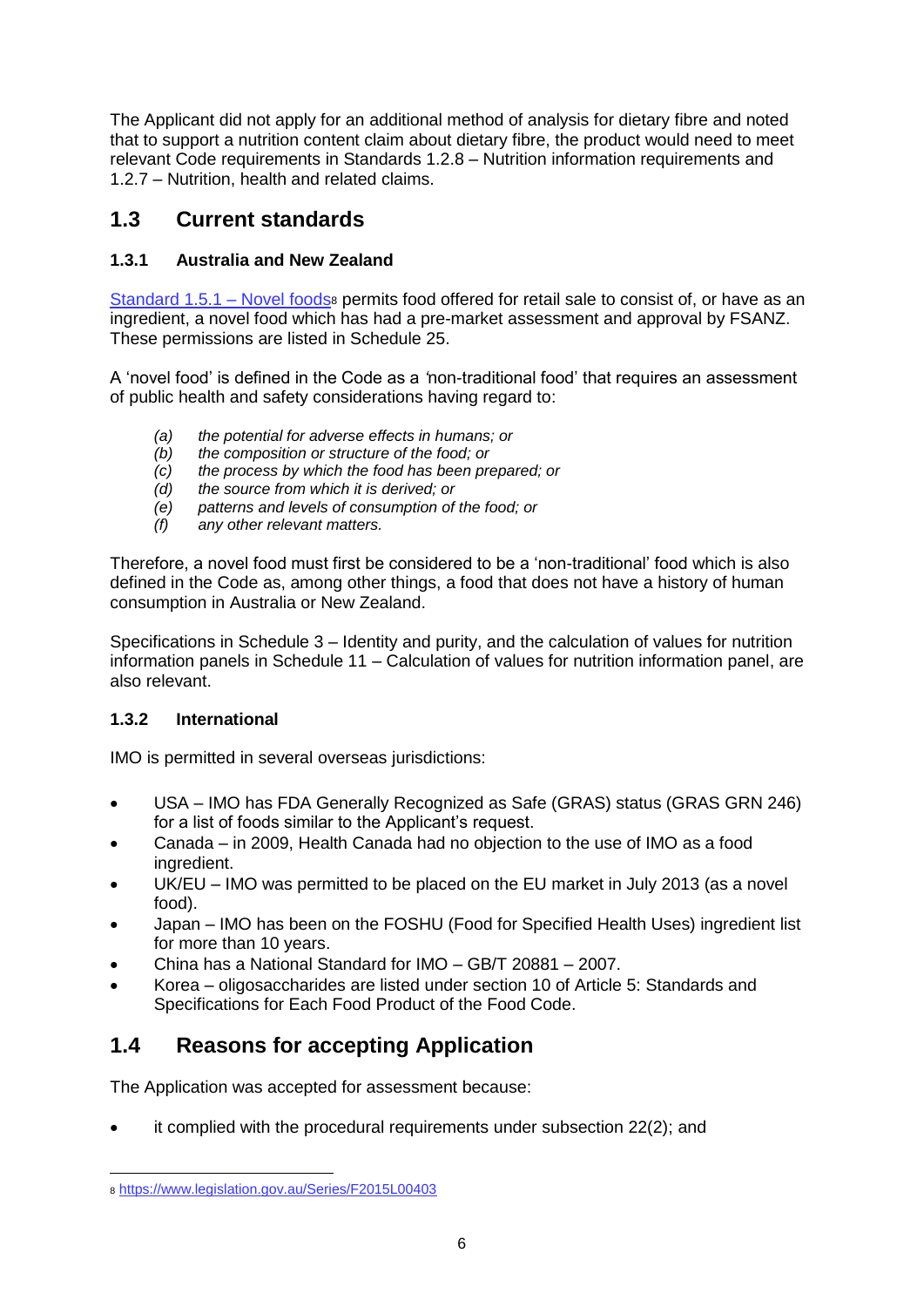The Applicant did not apply for an additional method of analysis for dietary fibre and noted that to support a nutrition content claim about dietary fibre, the product would need to meet relevant Code requirements in Standards 1.2.8 – Nutrition information requirements and 1.2.7 – Nutrition, health and related claims.

### <span id="page-5-0"></span>**1.3 Current standards**

### <span id="page-5-1"></span>**1.3.1 Australia and New Zealand**

[Standard 1.5.1 –](https://www.legislation.gov.au/Series/F2015L00403) Novel foods<sub>8</sub> permits food offered for retail sale to consist of, or have as an ingredient, a novel food which has had a pre-market assessment and approval by FSANZ. These permissions are listed in Schedule 25.

A 'novel food' is defined in the Code as a *'*non-traditional food' that requires an assessment of public health and safety considerations having regard to:

- *(a) the potential for adverse effects in humans; or*
- *(b) the composition or structure of the food; or*
- *(c) the process by which the food has been prepared; or*
- *(d) the source from which it is derived; or*
- *(e) patterns and levels of consumption of the food; or*
- *(f) any other relevant matters.*

Therefore, a novel food must first be considered to be a 'non-traditional' food which is also defined in the Code as, among other things, a food that does not have a history of human consumption in Australia or New Zealand.

Specifications in Schedule 3 – Identity and purity, and the calculation of values for nutrition information panels in Schedule 11 – Calculation of values for nutrition information panel, are also relevant.

#### <span id="page-5-2"></span>**1.3.2 International**

IMO is permitted in several overseas jurisdictions:

- USA IMO has FDA Generally Recognized as Safe (GRAS) status (GRAS GRN 246) for a list of foods similar to the Applicant's request.
- Canada in 2009, Health Canada had no objection to the use of IMO as a food ingredient.
- UK/EU IMO was permitted to be placed on the EU market in July 2013 (as a novel food).
- Japan IMO has been on the FOSHU (Food for Specified Health Uses) ingredient list for more than 10 years.
- China has a National Standard for IMO GB/T 20881 2007.
- Korea oligosaccharides are listed under section 10 of Article 5: Standards and Specifications for Each Food Product of the Food Code.

### <span id="page-5-3"></span>**1.4 Reasons for accepting Application**

The Application was accepted for assessment because:

it complied with the procedural requirements under subsection 22(2); and

 $\overline{a}$ <sup>8</sup> <https://www.legislation.gov.au/Series/F2015L00403>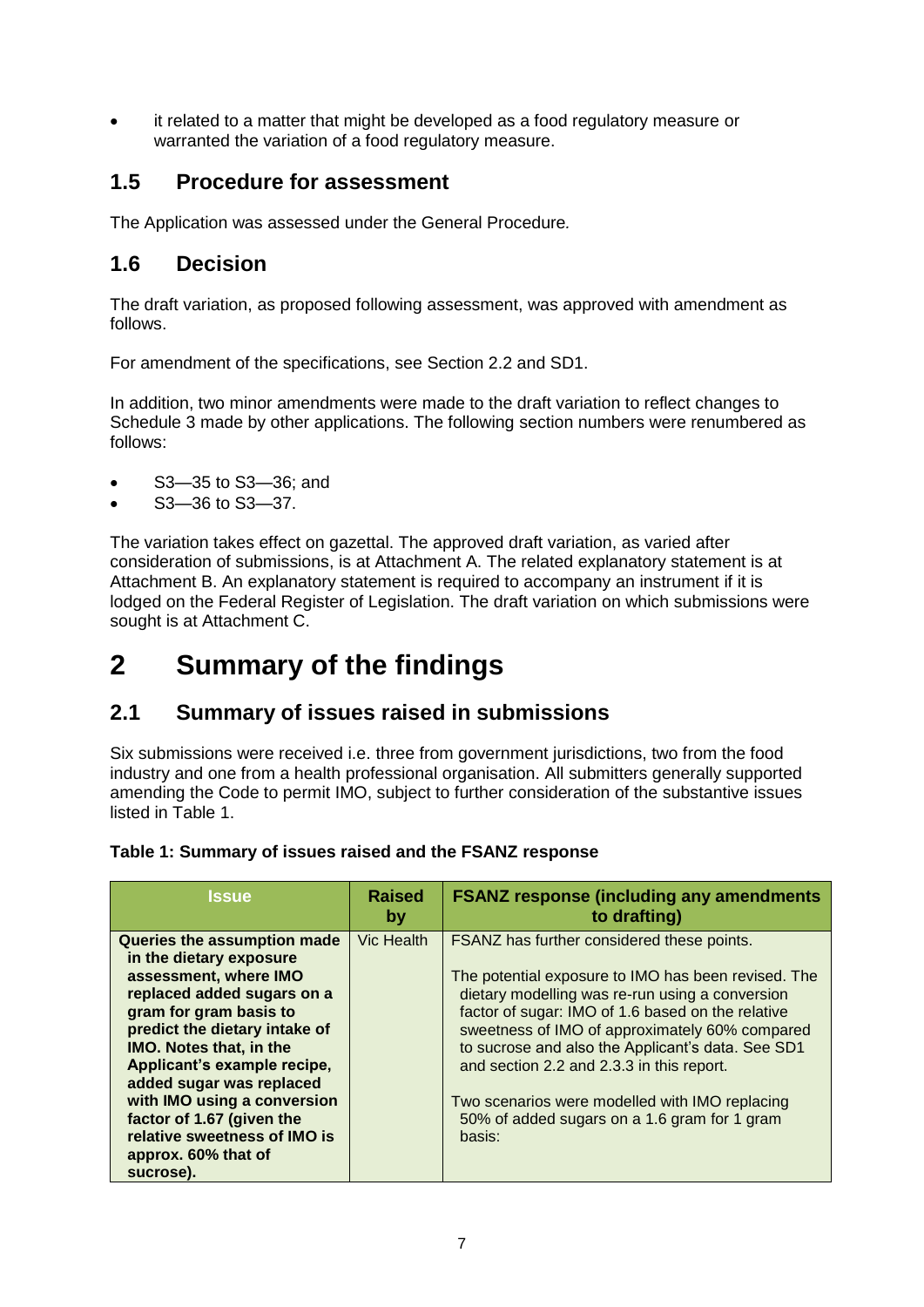it related to a matter that might be developed as a food regulatory measure or warranted the variation of a food regulatory measure.

### <span id="page-6-0"></span>**1.5 Procedure for assessment**

The Application was assessed under the General Procedure*.*

### <span id="page-6-1"></span>**1.6 Decision**

The draft variation, as proposed following assessment, was approved with amendment as follows.

For amendment of the specifications, see Section 2.2 and SD1.

In addition, two minor amendments were made to the draft variation to reflect changes to Schedule 3 made by other applications. The following section numbers were renumbered as follows:

- S3—35 to S3—36; and
- S3—36 to S3—37.

The variation takes effect on gazettal. The approved draft variation, as varied after consideration of submissions, is at Attachment A. The related explanatory statement is at Attachment B. An explanatory statement is required to accompany an instrument if it is lodged on the Federal Register of Legislation. The draft variation on which submissions were sought is at Attachment C.

# <span id="page-6-2"></span>**2 Summary of the findings**

### <span id="page-6-3"></span>**2.1 Summary of issues raised in submissions**

Six submissions were received i.e. three from government jurisdictions, two from the food industry and one from a health professional organisation. All submitters generally supported amending the Code to permit IMO, subject to further consideration of the substantive issues listed in Table 1.

#### **Table 1: Summary of issues raised and the FSANZ response**

| <b>Issue</b>                                                                                                                                                                                                                                                                                                                                                                                          | <b>Raised</b><br>by | <b>FSANZ response (including any amendments)</b><br>to drafting)                                                                                                                                                                                                                                                                                                                                                                                                          |
|-------------------------------------------------------------------------------------------------------------------------------------------------------------------------------------------------------------------------------------------------------------------------------------------------------------------------------------------------------------------------------------------------------|---------------------|---------------------------------------------------------------------------------------------------------------------------------------------------------------------------------------------------------------------------------------------------------------------------------------------------------------------------------------------------------------------------------------------------------------------------------------------------------------------------|
| Queries the assumption made<br>in the dietary exposure<br>assessment, where IMO<br>replaced added sugars on a<br>gram for gram basis to<br>predict the dietary intake of<br><b>IMO. Notes that, in the</b><br>Applicant's example recipe,<br>added sugar was replaced<br>with IMO using a conversion<br>factor of 1.67 (given the<br>relative sweetness of IMO is<br>approx. 60% that of<br>sucrose). | Vic Health          | FSANZ has further considered these points.<br>The potential exposure to IMO has been revised. The<br>dietary modelling was re-run using a conversion<br>factor of sugar: IMO of 1.6 based on the relative<br>sweetness of IMO of approximately 60% compared<br>to sucrose and also the Applicant's data. See SD1<br>and section 2.2 and 2.3.3 in this report.<br>Two scenarios were modelled with IMO replacing<br>50% of added sugars on a 1.6 gram for 1 gram<br>basis: |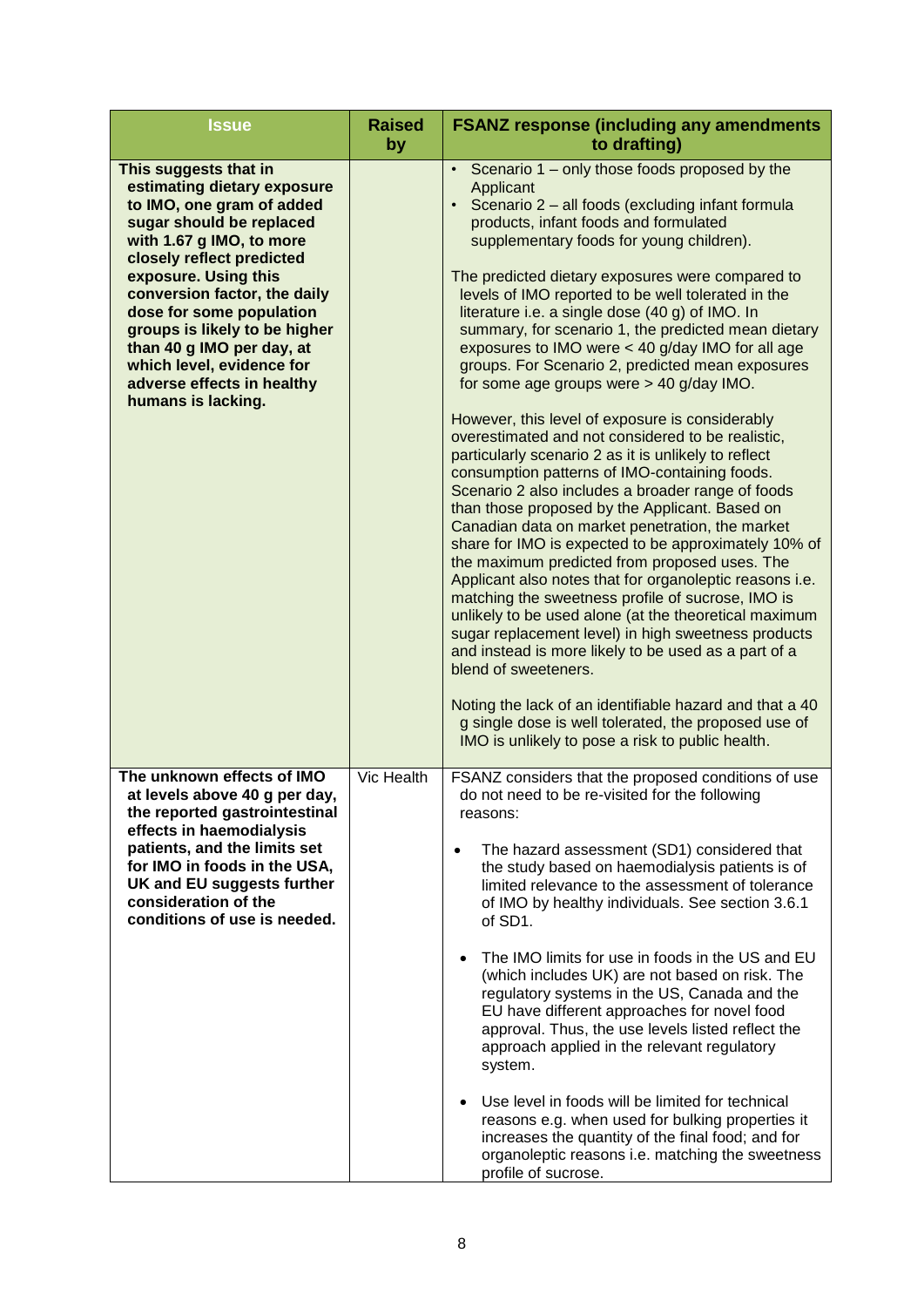| <b>Issue</b>                                                                                                                                                                                                                                                                                                                                                                                              | <b>Raised</b><br>by | <b>FSANZ response (including any amendments)</b><br>to drafting)                                                                                                                                                                                                                                                                                                                                                                                                                                                                                                                                                                                                                                                                                                                                                                                                                                                                                                                                                                                                                                                                                                                                                                                                                                                                                                                                                                                                                                                                                                                 |
|-----------------------------------------------------------------------------------------------------------------------------------------------------------------------------------------------------------------------------------------------------------------------------------------------------------------------------------------------------------------------------------------------------------|---------------------|----------------------------------------------------------------------------------------------------------------------------------------------------------------------------------------------------------------------------------------------------------------------------------------------------------------------------------------------------------------------------------------------------------------------------------------------------------------------------------------------------------------------------------------------------------------------------------------------------------------------------------------------------------------------------------------------------------------------------------------------------------------------------------------------------------------------------------------------------------------------------------------------------------------------------------------------------------------------------------------------------------------------------------------------------------------------------------------------------------------------------------------------------------------------------------------------------------------------------------------------------------------------------------------------------------------------------------------------------------------------------------------------------------------------------------------------------------------------------------------------------------------------------------------------------------------------------------|
| This suggests that in<br>estimating dietary exposure<br>to IMO, one gram of added<br>sugar should be replaced<br>with 1.67 g IMO, to more<br>closely reflect predicted<br>exposure. Using this<br>conversion factor, the daily<br>dose for some population<br>groups is likely to be higher<br>than 40 g IMO per day, at<br>which level, evidence for<br>adverse effects in healthy<br>humans is lacking. |                     | Scenario 1 – only those foods proposed by the<br>$\bullet$<br>Applicant<br>Scenario 2 - all foods (excluding infant formula<br>$\bullet$<br>products, infant foods and formulated<br>supplementary foods for young children).<br>The predicted dietary exposures were compared to<br>levels of IMO reported to be well tolerated in the<br>literature i.e. a single dose (40 g) of IMO. In<br>summary, for scenario 1, the predicted mean dietary<br>exposures to IMO were < 40 g/day IMO for all age<br>groups. For Scenario 2, predicted mean exposures<br>for some age groups were > 40 g/day IMO.<br>However, this level of exposure is considerably<br>overestimated and not considered to be realistic,<br>particularly scenario 2 as it is unlikely to reflect<br>consumption patterns of IMO-containing foods.<br>Scenario 2 also includes a broader range of foods<br>than those proposed by the Applicant. Based on<br>Canadian data on market penetration, the market<br>share for IMO is expected to be approximately 10% of<br>the maximum predicted from proposed uses. The<br>Applicant also notes that for organoleptic reasons i.e.<br>matching the sweetness profile of sucrose, IMO is<br>unlikely to be used alone (at the theoretical maximum<br>sugar replacement level) in high sweetness products<br>and instead is more likely to be used as a part of a<br>blend of sweeteners.<br>Noting the lack of an identifiable hazard and that a 40<br>g single dose is well tolerated, the proposed use of<br>IMO is unlikely to pose a risk to public health. |
| The unknown effects of IMO<br>at levels above 40 g per day,<br>the reported gastrointestinal<br>effects in haemodialysis<br>patients, and the limits set<br>for IMO in foods in the USA,<br>UK and EU suggests further<br>consideration of the<br>conditions of use is needed.                                                                                                                            | Vic Health          | FSANZ considers that the proposed conditions of use<br>do not need to be re-visited for the following<br>reasons:<br>The hazard assessment (SD1) considered that<br>$\bullet$<br>the study based on haemodialysis patients is of<br>limited relevance to the assessment of tolerance<br>of IMO by healthy individuals. See section 3.6.1<br>of SD1.<br>The IMO limits for use in foods in the US and EU<br>$\bullet$<br>(which includes UK) are not based on risk. The<br>regulatory systems in the US, Canada and the<br>EU have different approaches for novel food<br>approval. Thus, the use levels listed reflect the<br>approach applied in the relevant regulatory<br>system.<br>Use level in foods will be limited for technical<br>$\bullet$<br>reasons e.g. when used for bulking properties it<br>increases the quantity of the final food; and for<br>organoleptic reasons i.e. matching the sweetness<br>profile of sucrose.                                                                                                                                                                                                                                                                                                                                                                                                                                                                                                                                                                                                                                        |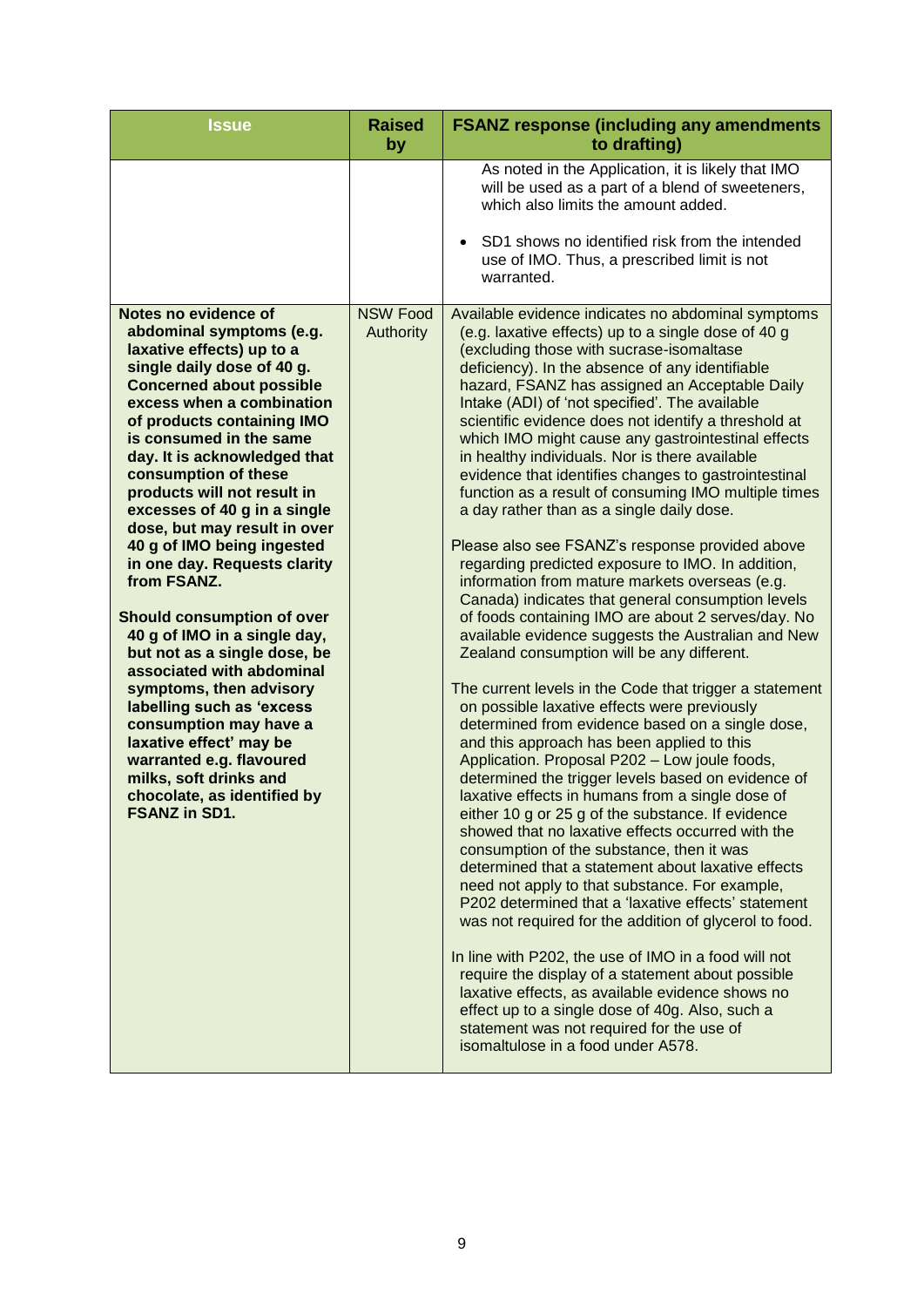|                                                                                                                                                                                                                                                                                                                                                                                                                                                                                                                                                                                                                                                                                                                                                                                                                                                                             | As noted in the Application, it is likely that IMO<br>will be used as a part of a blend of sweeteners,<br>which also limits the amount added.<br>SD1 shows no identified risk from the intended<br>$\bullet$<br>use of IMO. Thus, a prescribed limit is not                                                                                                                                                                                                                                                                                                                                                                                                                                                                                                                                                                                                                                                                                                                                                                                                                                                                                                                                                                                                                                                                                                                                                                                                                                                                                                                                                                                                                                                                                                                                                                                                                                                                                                                                                                                                                       |
|-----------------------------------------------------------------------------------------------------------------------------------------------------------------------------------------------------------------------------------------------------------------------------------------------------------------------------------------------------------------------------------------------------------------------------------------------------------------------------------------------------------------------------------------------------------------------------------------------------------------------------------------------------------------------------------------------------------------------------------------------------------------------------------------------------------------------------------------------------------------------------|-----------------------------------------------------------------------------------------------------------------------------------------------------------------------------------------------------------------------------------------------------------------------------------------------------------------------------------------------------------------------------------------------------------------------------------------------------------------------------------------------------------------------------------------------------------------------------------------------------------------------------------------------------------------------------------------------------------------------------------------------------------------------------------------------------------------------------------------------------------------------------------------------------------------------------------------------------------------------------------------------------------------------------------------------------------------------------------------------------------------------------------------------------------------------------------------------------------------------------------------------------------------------------------------------------------------------------------------------------------------------------------------------------------------------------------------------------------------------------------------------------------------------------------------------------------------------------------------------------------------------------------------------------------------------------------------------------------------------------------------------------------------------------------------------------------------------------------------------------------------------------------------------------------------------------------------------------------------------------------------------------------------------------------------------------------------------------------|
|                                                                                                                                                                                                                                                                                                                                                                                                                                                                                                                                                                                                                                                                                                                                                                                                                                                                             | warranted.                                                                                                                                                                                                                                                                                                                                                                                                                                                                                                                                                                                                                                                                                                                                                                                                                                                                                                                                                                                                                                                                                                                                                                                                                                                                                                                                                                                                                                                                                                                                                                                                                                                                                                                                                                                                                                                                                                                                                                                                                                                                        |
| Notes no evidence of<br><b>NSW Food</b><br>abdominal symptoms (e.g.<br><b>Authority</b><br>laxative effects) up to a<br>single daily dose of 40 g.<br><b>Concerned about possible</b><br>excess when a combination<br>of products containing IMO<br>is consumed in the same<br>day. It is acknowledged that<br>consumption of these<br>products will not result in<br>excesses of 40 g in a single<br>dose, but may result in over<br>40 g of IMO being ingested<br>in one day. Requests clarity<br>from FSANZ.<br><b>Should consumption of over</b><br>40 g of IMO in a single day,<br>but not as a single dose, be<br>associated with abdominal<br>symptoms, then advisory<br>labelling such as 'excess<br>consumption may have a<br>laxative effect' may be<br>warranted e.g. flavoured<br>milks, soft drinks and<br>chocolate, as identified by<br><b>FSANZ in SD1.</b> | Available evidence indicates no abdominal symptoms<br>(e.g. laxative effects) up to a single dose of 40 g<br>(excluding those with sucrase-isomaltase<br>deficiency). In the absence of any identifiable<br>hazard, FSANZ has assigned an Acceptable Daily<br>Intake (ADI) of 'not specified'. The available<br>scientific evidence does not identify a threshold at<br>which IMO might cause any gastrointestinal effects<br>in healthy individuals. Nor is there available<br>evidence that identifies changes to gastrointestinal<br>function as a result of consuming IMO multiple times<br>a day rather than as a single daily dose.<br>Please also see FSANZ's response provided above<br>regarding predicted exposure to IMO. In addition,<br>information from mature markets overseas (e.g.<br>Canada) indicates that general consumption levels<br>of foods containing IMO are about 2 serves/day. No<br>available evidence suggests the Australian and New<br>Zealand consumption will be any different.<br>The current levels in the Code that trigger a statement<br>on possible laxative effects were previously<br>determined from evidence based on a single dose,<br>and this approach has been applied to this<br>Application. Proposal P202 - Low joule foods,<br>determined the trigger levels based on evidence of<br>laxative effects in humans from a single dose of<br>either 10 g or 25 g of the substance. If evidence<br>showed that no laxative effects occurred with the<br>consumption of the substance, then it was<br>determined that a statement about laxative effects<br>need not apply to that substance. For example,<br>P202 determined that a 'laxative effects' statement<br>was not required for the addition of glycerol to food.<br>In line with P202, the use of IMO in a food will not<br>require the display of a statement about possible<br>laxative effects, as available evidence shows no<br>effect up to a single dose of 40g. Also, such a<br>statement was not required for the use of<br>isomaltulose in a food under A578. |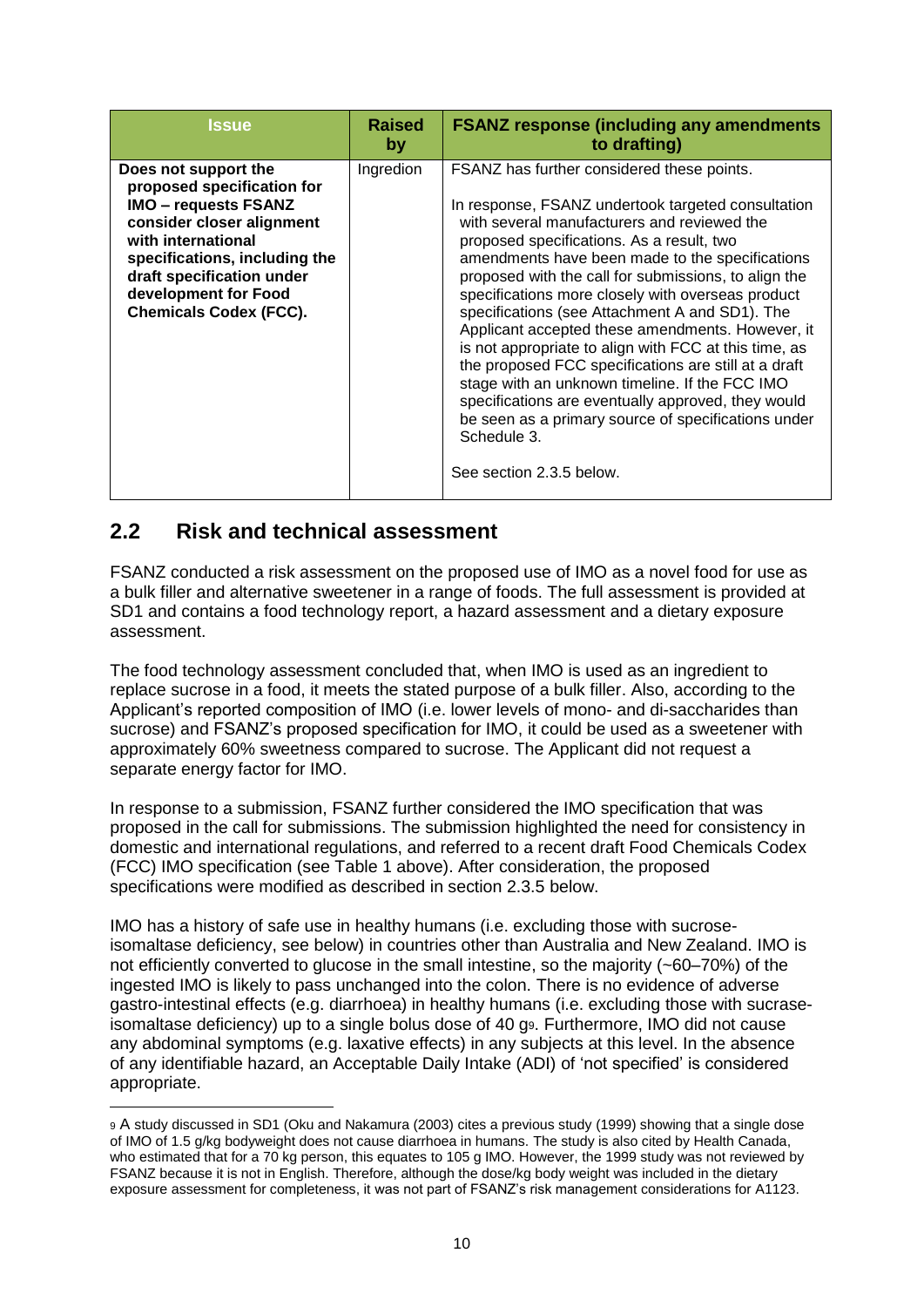| <b>Issue</b>                                                                                                                                                                                                                                                | <b>Raised</b><br>by | <b>FSANZ response (including any amendments)</b><br>to drafting)                                                                                                                                                                                                                                                                                                                                                                                                                                                                                                                                                                                                                                                                                                                              |
|-------------------------------------------------------------------------------------------------------------------------------------------------------------------------------------------------------------------------------------------------------------|---------------------|-----------------------------------------------------------------------------------------------------------------------------------------------------------------------------------------------------------------------------------------------------------------------------------------------------------------------------------------------------------------------------------------------------------------------------------------------------------------------------------------------------------------------------------------------------------------------------------------------------------------------------------------------------------------------------------------------------------------------------------------------------------------------------------------------|
| Does not support the<br>proposed specification for<br><b>IMO - requests FSANZ</b><br>consider closer alignment<br>with international<br>specifications, including the<br>draft specification under<br>development for Food<br><b>Chemicals Codex (FCC).</b> | Ingredion           | FSANZ has further considered these points.<br>In response, FSANZ undertook targeted consultation<br>with several manufacturers and reviewed the<br>proposed specifications. As a result, two<br>amendments have been made to the specifications<br>proposed with the call for submissions, to align the<br>specifications more closely with overseas product<br>specifications (see Attachment A and SD1). The<br>Applicant accepted these amendments. However, it<br>is not appropriate to align with FCC at this time, as<br>the proposed FCC specifications are still at a draft<br>stage with an unknown timeline. If the FCC IMO<br>specifications are eventually approved, they would<br>be seen as a primary source of specifications under<br>Schedule 3.<br>See section 2.3.5 below. |

### <span id="page-9-0"></span>**2.2 Risk and technical assessment**

 $\overline{a}$ 

FSANZ conducted a risk assessment on the proposed use of IMO as a novel food for use as a bulk filler and alternative sweetener in a range of foods. The full assessment is provided at SD1 and contains a food technology report, a hazard assessment and a dietary exposure assessment.

The food technology assessment concluded that, when IMO is used as an ingredient to replace sucrose in a food, it meets the stated purpose of a bulk filler. Also, according to the Applicant's reported composition of IMO (i.e. lower levels of mono- and di-saccharides than sucrose) and FSANZ's proposed specification for IMO, it could be used as a sweetener with approximately 60% sweetness compared to sucrose. The Applicant did not request a separate energy factor for IMO.

In response to a submission, FSANZ further considered the IMO specification that was proposed in the call for submissions. The submission highlighted the need for consistency in domestic and international regulations, and referred to a recent draft Food Chemicals Codex (FCC) IMO specification (see Table 1 above). After consideration, the proposed specifications were modified as described in section 2.3.5 below.

IMO has a history of safe use in healthy humans (i.e. excluding those with sucroseisomaltase deficiency, see below) in countries other than Australia and New Zealand. IMO is not efficiently converted to glucose in the small intestine, so the majority (~60–70%) of the ingested IMO is likely to pass unchanged into the colon. There is no evidence of adverse gastro-intestinal effects (e.g. diarrhoea) in healthy humans (i.e. excluding those with sucraseisomaltase deficiency) up to a single bolus dose of 40 g9. Furthermore, IMO did not cause any abdominal symptoms (e.g. laxative effects) in any subjects at this level. In the absence of any identifiable hazard, an Acceptable Daily Intake (ADI) of 'not specified' is considered appropriate.

<sup>9</sup> A study discussed in SD1 (Oku and Nakamura (2003) cites a previous study (1999) showing that a single dose of IMO of 1.5 g/kg bodyweight does not cause diarrhoea in humans. The study is also cited by Health Canada, who estimated that for a 70 kg person, this equates to 105 g IMO. However, the 1999 study was not reviewed by FSANZ because it is not in English. Therefore, although the dose/kg body weight was included in the dietary exposure assessment for completeness, it was not part of FSANZ's risk management considerations for A1123.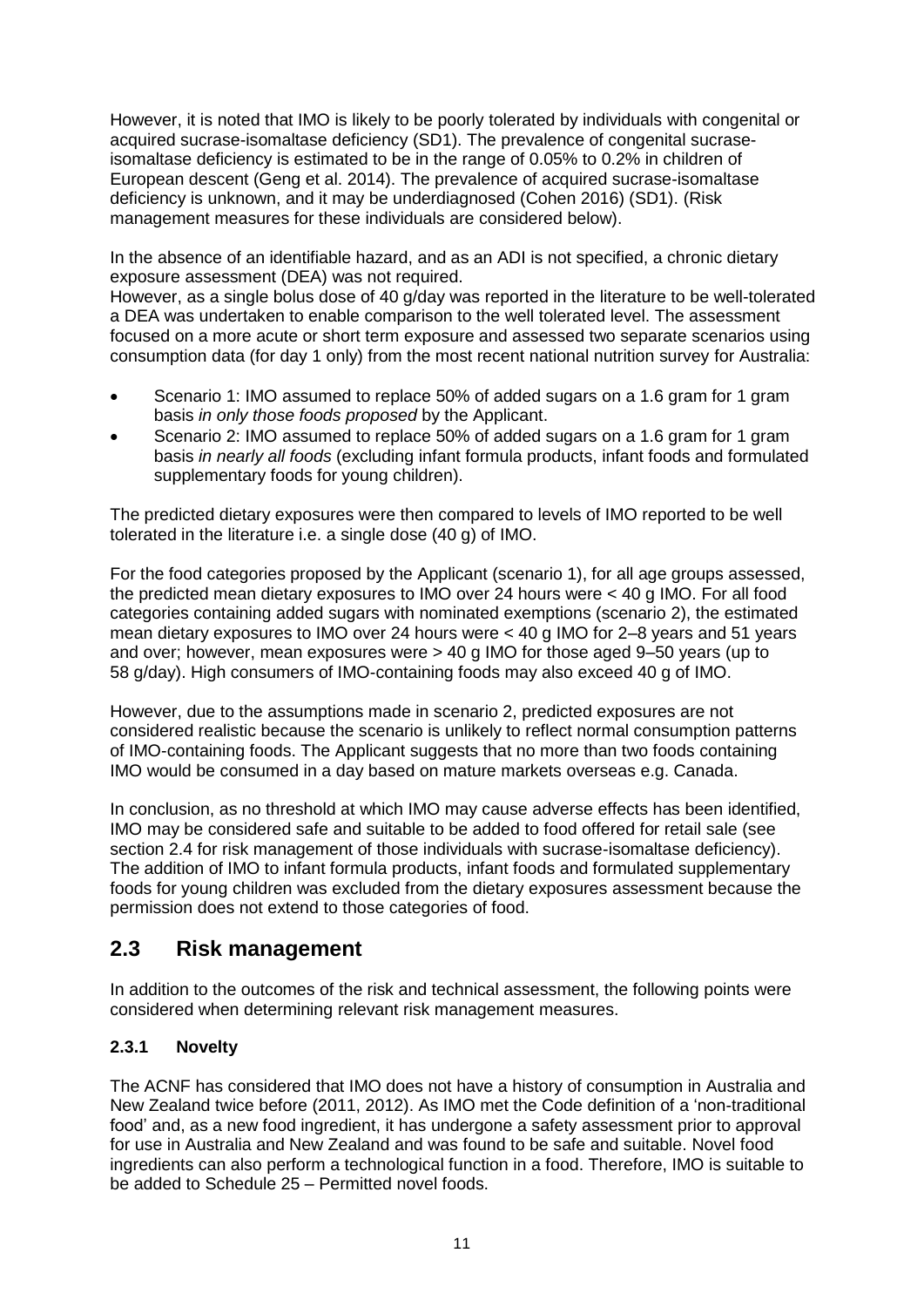However, it is noted that IMO is likely to be poorly tolerated by individuals with congenital or acquired sucrase-isomaltase deficiency (SD1). The prevalence of congenital sucraseisomaltase deficiency is estimated to be in the range of 0.05% to 0.2% in children of European descent (Geng et al. 2014). The prevalence of acquired sucrase-isomaltase deficiency is unknown, and it may be underdiagnosed (Cohen 2016) (SD1). (Risk management measures for these individuals are considered below).

In the absence of an identifiable hazard, and as an ADI is not specified, a chronic dietary exposure assessment (DEA) was not required.

However, as a single bolus dose of 40 g/day was reported in the literature to be well-tolerated a DEA was undertaken to enable comparison to the well tolerated level. The assessment focused on a more acute or short term exposure and assessed two separate scenarios using consumption data (for day 1 only) from the most recent national nutrition survey for Australia:

- Scenario 1: IMO assumed to replace 50% of added sugars on a 1.6 gram for 1 gram basis *in only those foods proposed* by the Applicant.
- Scenario 2: IMO assumed to replace 50% of added sugars on a 1.6 gram for 1 gram basis *in nearly all foods* (excluding infant formula products, infant foods and formulated supplementary foods for young children).

The predicted dietary exposures were then compared to levels of IMO reported to be well tolerated in the literature i.e. a single dose (40 g) of IMO.

For the food categories proposed by the Applicant (scenario 1), for all age groups assessed, the predicted mean dietary exposures to IMO over 24 hours were < 40 g IMO. For all food categories containing added sugars with nominated exemptions (scenario 2), the estimated mean dietary exposures to IMO over 24 hours were < 40 g IMO for 2–8 years and 51 years and over; however, mean exposures were > 40 g IMO for those aged 9–50 years (up to 58 g/day). High consumers of IMO-containing foods may also exceed 40 g of IMO.

However, due to the assumptions made in scenario 2, predicted exposures are not considered realistic because the scenario is unlikely to reflect normal consumption patterns of IMO-containing foods. The Applicant suggests that no more than two foods containing IMO would be consumed in a day based on mature markets overseas e.g. Canada.

In conclusion, as no threshold at which IMO may cause adverse effects has been identified, IMO may be considered safe and suitable to be added to food offered for retail sale (see section 2.4 for risk management of those individuals with sucrase-isomaltase deficiency). The addition of IMO to infant formula products, infant foods and formulated supplementary foods for young children was excluded from the dietary exposures assessment because the permission does not extend to those categories of food.

### <span id="page-10-0"></span>**2.3 Risk management**

In addition to the outcomes of the risk and technical assessment, the following points were considered when determining relevant risk management measures.

#### <span id="page-10-1"></span>**2.3.1 Novelty**

The ACNF has considered that IMO does not have a history of consumption in Australia and New Zealand twice before (2011, 2012). As IMO met the Code definition of a 'non-traditional food' and, as a new food ingredient, it has undergone a safety assessment prior to approval for use in Australia and New Zealand and was found to be safe and suitable. Novel food ingredients can also perform a technological function in a food. Therefore, IMO is suitable to be added to Schedule 25 – Permitted novel foods.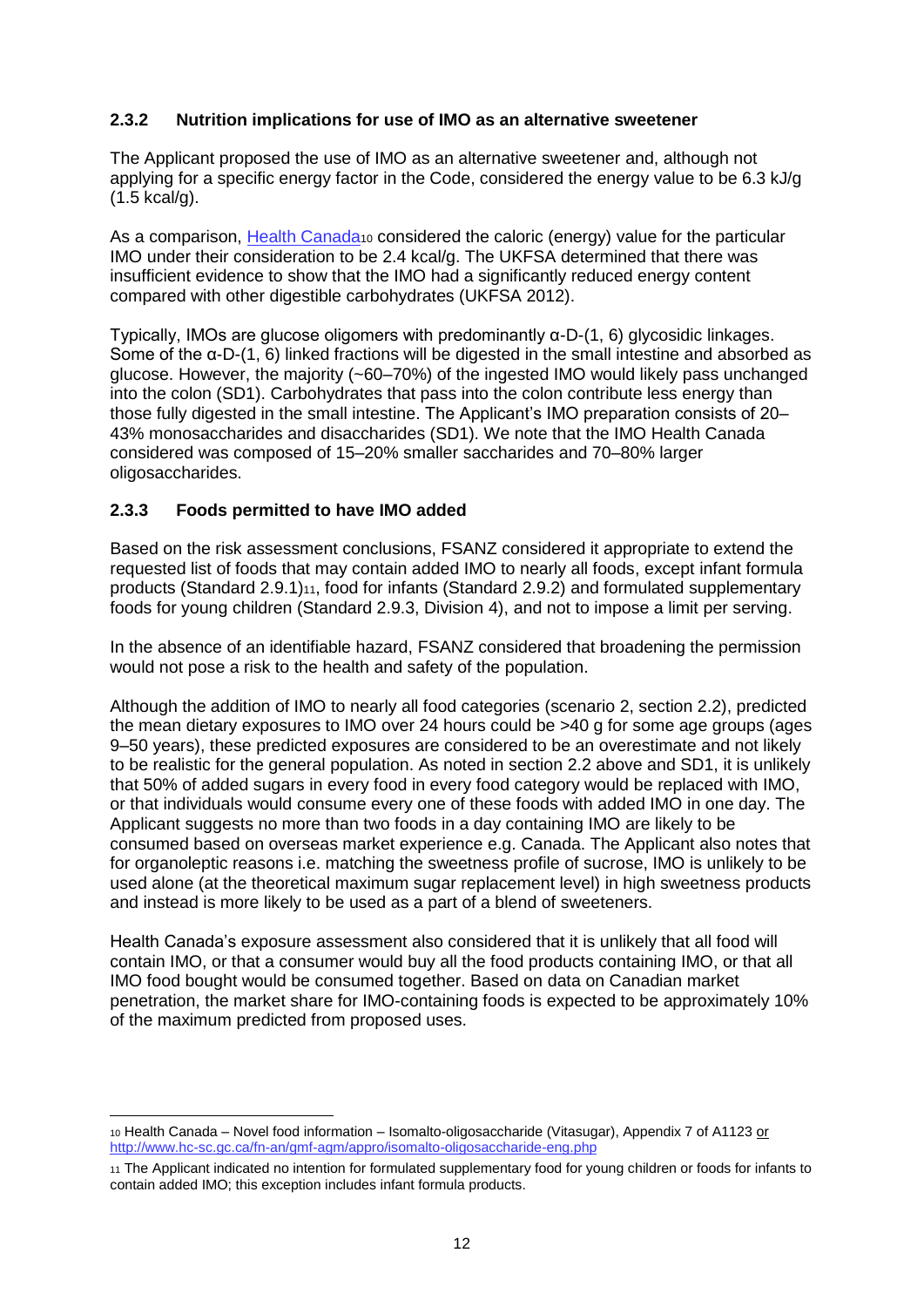#### <span id="page-11-0"></span>**2.3.2 Nutrition implications for use of IMO as an alternative sweetener**

The Applicant proposed the use of IMO as an alternative sweetener and, although not applying for a specific energy factor in the Code, considered the energy value to be 6.3 kJ/g (1.5 kcal/g).

As a comparison, [Health Canada](http://www.hc-sc.gc.ca/fn-an/gmf-agm/appro/isomalto-oligosaccharide-eng.php)<sub>10</sub> considered the caloric (energy) value for the particular IMO under their consideration to be 2.4 kcal/g. The UKFSA determined that there was insufficient evidence to show that the IMO had a significantly reduced energy content compared with other digestible carbohydrates (UKFSA 2012).

Typically, IMOs are glucose oligomers with predominantly α-D-(1, 6) glycosidic linkages. Some of the α-D-(1, 6) linked fractions will be digested in the small intestine and absorbed as glucose. However, the majority (~60–70%) of the ingested IMO would likely pass unchanged into the colon (SD1). Carbohydrates that pass into the colon contribute less energy than those fully digested in the small intestine. The Applicant's IMO preparation consists of 20– 43% monosaccharides and disaccharides (SD1). We note that the IMO Health Canada considered was composed of 15–20% smaller saccharides and 70–80% larger oligosaccharides.

#### <span id="page-11-1"></span>**2.3.3 Foods permitted to have IMO added**

Based on the risk assessment conclusions, FSANZ considered it appropriate to extend the requested list of foods that may contain added IMO to nearly all foods, except infant formula products (Standard 2.9.1)11, food for infants (Standard 2.9.2) and formulated supplementary foods for young children (Standard 2.9.3, Division 4), and not to impose a limit per serving.

In the absence of an identifiable hazard, FSANZ considered that broadening the permission would not pose a risk to the health and safety of the population.

Although the addition of IMO to nearly all food categories (scenario 2, section 2.2), predicted the mean dietary exposures to IMO over 24 hours could be >40 g for some age groups (ages 9–50 years), these predicted exposures are considered to be an overestimate and not likely to be realistic for the general population. As noted in section 2.2 above and SD1, it is unlikely that 50% of added sugars in every food in every food category would be replaced with IMO, or that individuals would consume every one of these foods with added IMO in one day. The Applicant suggests no more than two foods in a day containing IMO are likely to be consumed based on overseas market experience e.g. Canada. The Applicant also notes that for organoleptic reasons i.e. matching the sweetness profile of sucrose, IMO is unlikely to be used alone (at the theoretical maximum sugar replacement level) in high sweetness products and instead is more likely to be used as a part of a blend of sweeteners.

Health Canada's exposure assessment also considered that it is unlikely that all food will contain IMO, or that a consumer would buy all the food products containing IMO, or that all IMO food bought would be consumed together. Based on data on Canadian market penetration, the market share for IMO-containing foods is expected to be approximately 10% of the maximum predicted from proposed uses.

<sup>10</sup> Health Canada – Novel food information – Isomalto-oligosaccharide (Vitasugar), Appendix 7 of A1123 or <http://www.hc-sc.gc.ca/fn-an/gmf-agm/appro/isomalto-oligosaccharide-eng.php>

<sup>11</sup> The Applicant indicated no intention for formulated supplementary food for young children or foods for infants to contain added IMO; this exception includes infant formula products.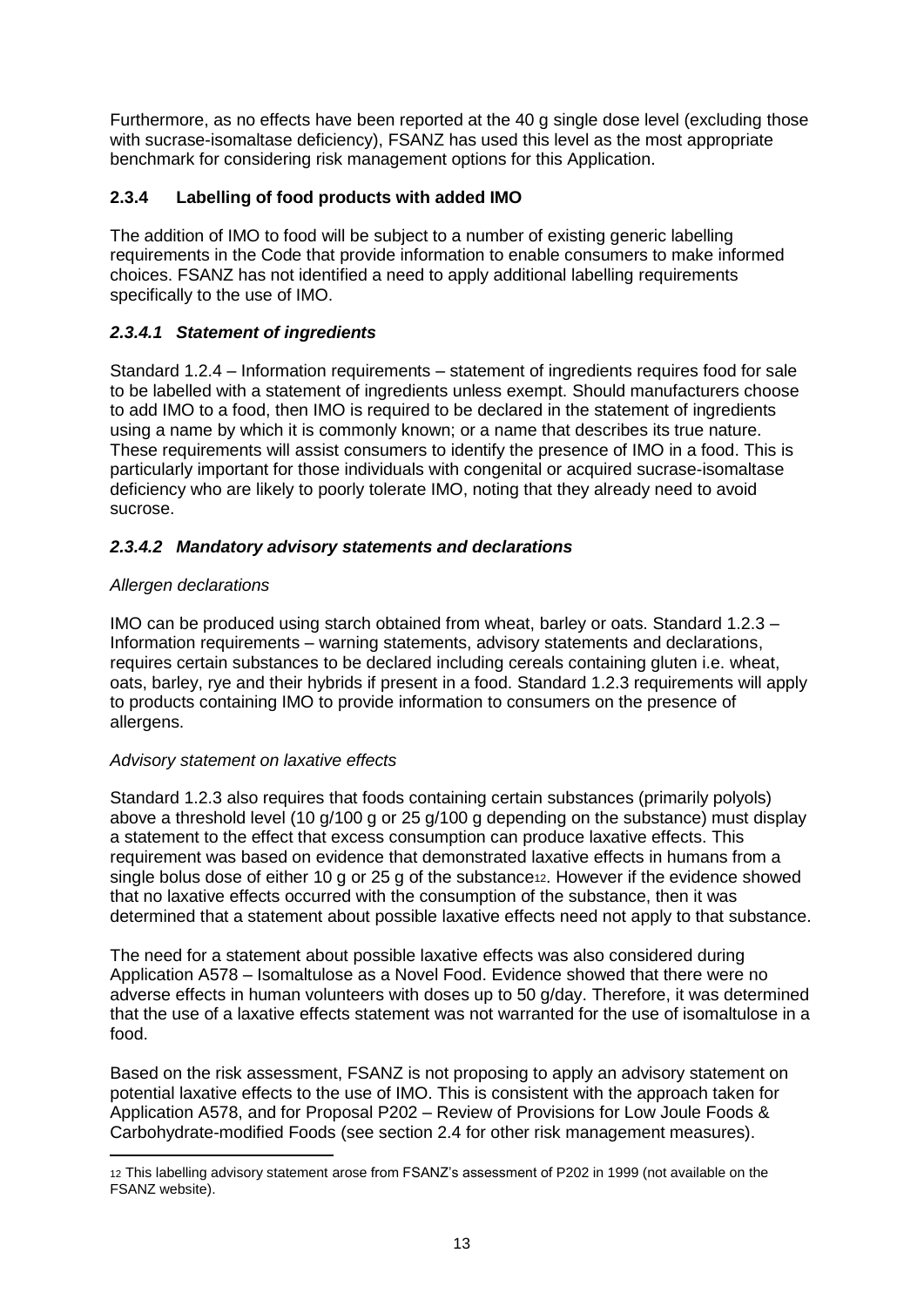Furthermore, as no effects have been reported at the 40 g single dose level (excluding those with sucrase-isomaltase deficiency), FSANZ has used this level as the most appropriate benchmark for considering risk management options for this Application.

#### <span id="page-12-0"></span>**2.3.4 Labelling of food products with added IMO**

The addition of IMO to food will be subject to a number of existing generic labelling requirements in the Code that provide information to enable consumers to make informed choices. FSANZ has not identified a need to apply additional labelling requirements specifically to the use of IMO.

#### *2.3.4.1 Statement of ingredients*

Standard 1.2.4 – Information requirements – statement of ingredients requires food for sale to be labelled with a statement of ingredients unless exempt. Should manufacturers choose to add IMO to a food, then IMO is required to be declared in the statement of ingredients using a name by which it is commonly known; or a name that describes its true nature. These requirements will assist consumers to identify the presence of IMO in a food. This is particularly important for those individuals with congenital or acquired sucrase-isomaltase deficiency who are likely to poorly tolerate IMO, noting that they already need to avoid sucrose.

#### *2.3.4.2 Mandatory advisory statements and declarations*

#### *Allergen declarations*

IMO can be produced using starch obtained from wheat, barley or oats. Standard 1.2.3 – Information requirements – warning statements, advisory statements and declarations, requires certain substances to be declared including cereals containing gluten i.e. wheat, oats, barley, rye and their hybrids if present in a food. Standard 1.2.3 requirements will apply to products containing IMO to provide information to consumers on the presence of allergens.

#### *Advisory statement on laxative effects*

Standard 1.2.3 also requires that foods containing certain substances (primarily polyols) above a threshold level (10 g/100 g or 25 g/100 g depending on the substance) must display a statement to the effect that excess consumption can produce laxative effects. This requirement was based on evidence that demonstrated laxative effects in humans from a single bolus dose of either 10 g or 25 g of the substance<sub>12</sub>. However if the evidence showed that no laxative effects occurred with the consumption of the substance, then it was determined that a statement about possible laxative effects need not apply to that substance.

The need for a statement about possible laxative effects was also considered during Application A578 – Isomaltulose as a Novel Food. Evidence showed that there were no adverse effects in human volunteers with doses up to 50 g/day. Therefore, it was determined that the use of a laxative effects statement was not warranted for the use of isomaltulose in a food.

Based on the risk assessment, FSANZ is not proposing to apply an advisory statement on potential laxative effects to the use of IMO. This is consistent with the approach taken for Application A578, and for Proposal P202 – Review of Provisions for Low Joule Foods & Carbohydrate-modified Foods (see section 2.4 for other risk management measures).

<sup>12</sup> This labelling advisory statement arose from FSANZ's assessment of P202 in 1999 (not available on the FSANZ website).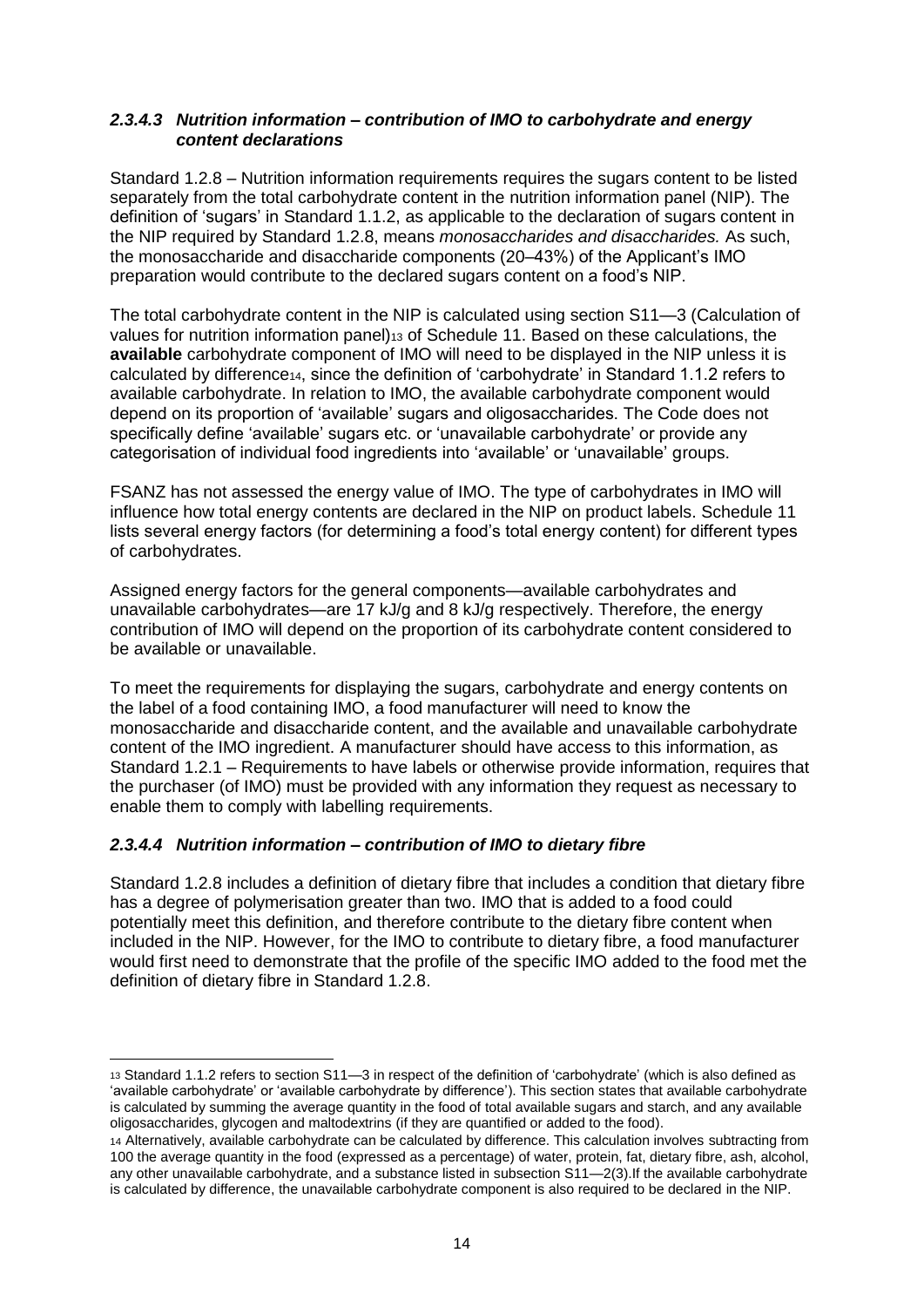#### *2.3.4.3 Nutrition information – contribution of IMO to carbohydrate and energy content declarations*

Standard 1.2.8 – Nutrition information requirements requires the sugars content to be listed separately from the total carbohydrate content in the nutrition information panel (NIP). The definition of 'sugars' in Standard 1.1.2, as applicable to the declaration of sugars content in the NIP required by Standard 1.2.8, means *monosaccharides and disaccharides.* As such, the monosaccharide and disaccharide components (20–43%) of the Applicant's IMO preparation would contribute to the declared sugars content on a food's NIP.

The total carbohydrate content in the NIP is calculated using section S11—3 (Calculation of values for nutrition information panel)<sup>13</sup> of Schedule 11. Based on these calculations, the **available** carbohydrate component of IMO will need to be displayed in the NIP unless it is calculated by difference14, since the definition of 'carbohydrate' in Standard 1.1.2 refers to available carbohydrate. In relation to IMO, the available carbohydrate component would depend on its proportion of 'available' sugars and oligosaccharides. The Code does not specifically define 'available' sugars etc. or 'unavailable carbohydrate' or provide any categorisation of individual food ingredients into 'available' or 'unavailable' groups.

FSANZ has not assessed the energy value of IMO. The type of carbohydrates in IMO will influence how total energy contents are declared in the NIP on product labels. Schedule 11 lists several energy factors (for determining a food's total energy content) for different types of carbohydrates.

Assigned energy factors for the general components—available carbohydrates and unavailable carbohydrates—are 17 kJ/g and 8 kJ/g respectively. Therefore, the energy contribution of IMO will depend on the proportion of its carbohydrate content considered to be available or unavailable.

To meet the requirements for displaying the sugars, carbohydrate and energy contents on the label of a food containing IMO, a food manufacturer will need to know the monosaccharide and disaccharide content, and the available and unavailable carbohydrate content of the IMO ingredient. A manufacturer should have access to this information, as Standard 1.2.1 – Requirements to have labels or otherwise provide information, requires that the purchaser (of IMO) must be provided with any information they request as necessary to enable them to comply with labelling requirements.

#### *2.3.4.4 Nutrition information – contribution of IMO to dietary fibre*

 $\overline{a}$ 

Standard 1.2.8 includes a definition of dietary fibre that includes a condition that dietary fibre has a degree of polymerisation greater than two. IMO that is added to a food could potentially meet this definition, and therefore contribute to the dietary fibre content when included in the NIP. However, for the IMO to contribute to dietary fibre, a food manufacturer would first need to demonstrate that the profile of the specific IMO added to the food met the definition of dietary fibre in Standard 1.2.8.

<sup>13</sup> Standard 1.1.2 refers to section S11—3 in respect of the definition of 'carbohydrate' (which is also defined as 'available carbohydrate' or 'available carbohydrate by difference'). This section states that available carbohydrate is calculated by summing the average quantity in the food of total available sugars and starch, and any available oligosaccharides, glycogen and maltodextrins (if they are quantified or added to the food).

<sup>14</sup> Alternatively, available carbohydrate can be calculated by difference. This calculation involves subtracting from 100 the average quantity in the food (expressed as a percentage) of water, protein, fat, dietary fibre, ash, alcohol, any other unavailable carbohydrate, and a substance listed in subsection S11—2(3).If the available carbohydrate is calculated by difference, the unavailable carbohydrate component is also required to be declared in the NIP.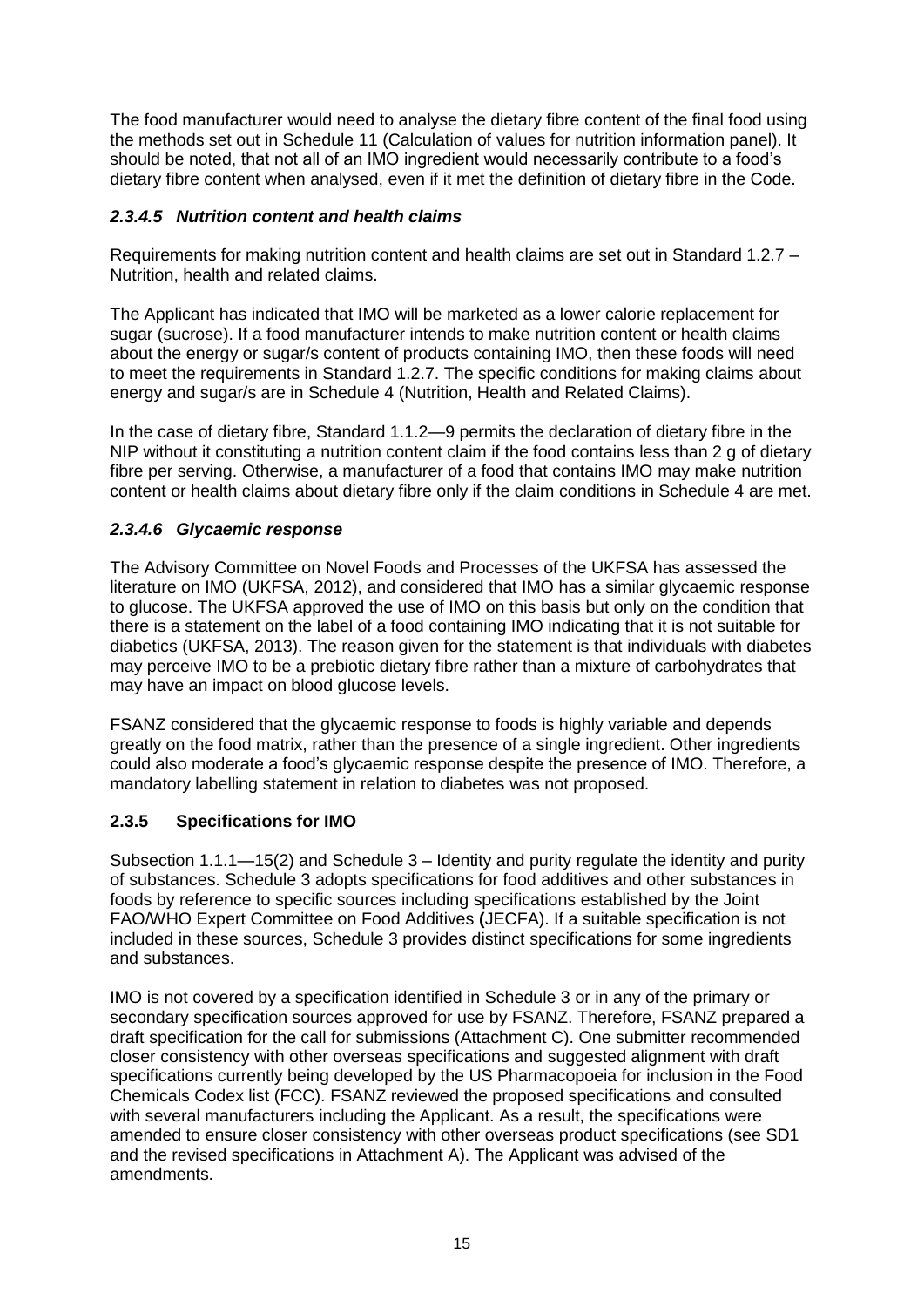The food manufacturer would need to analyse the dietary fibre content of the final food using the methods set out in Schedule 11 (Calculation of values for nutrition information panel). It should be noted, that not all of an IMO ingredient would necessarily contribute to a food's dietary fibre content when analysed, even if it met the definition of dietary fibre in the Code.

#### *2.3.4.5 Nutrition content and health claims*

Requirements for making nutrition content and health claims are set out in Standard 1.2.7 – Nutrition, health and related claims.

The Applicant has indicated that IMO will be marketed as a lower calorie replacement for sugar (sucrose). If a food manufacturer intends to make nutrition content or health claims about the energy or sugar/s content of products containing IMO, then these foods will need to meet the requirements in Standard 1.2.7. The specific conditions for making claims about energy and sugar/s are in Schedule 4 (Nutrition, Health and Related Claims).

In the case of dietary fibre, Standard 1.1.2—9 permits the declaration of dietary fibre in the NIP without it constituting a nutrition content claim if the food contains less than 2 g of dietary fibre per serving. Otherwise, a manufacturer of a food that contains IMO may make nutrition content or health claims about dietary fibre only if the claim conditions in Schedule 4 are met.

#### *2.3.4.6 Glycaemic response*

The Advisory Committee on Novel Foods and Processes of the UKFSA has assessed the literature on IMO (UKFSA, 2012), and considered that IMO has a similar glycaemic response to glucose. The UKFSA approved the use of IMO on this basis but only on the condition that there is a statement on the label of a food containing IMO indicating that it is not suitable for diabetics (UKFSA, 2013). The reason given for the statement is that individuals with diabetes may perceive IMO to be a prebiotic dietary fibre rather than a mixture of carbohydrates that may have an impact on blood glucose levels.

FSANZ considered that the glycaemic response to foods is highly variable and depends greatly on the food matrix, rather than the presence of a single ingredient. Other ingredients could also moderate a food's glycaemic response despite the presence of IMO. Therefore, a mandatory labelling statement in relation to diabetes was not proposed.

#### <span id="page-14-0"></span>**2.3.5 Specifications for IMO**

Subsection 1.1.1—15(2) and Schedule 3 – Identity and purity regulate the identity and purity of substances. Schedule 3 adopts specifications for food additives and other substances in foods by reference to specific sources including specifications established by the Joint FAO/WHO Expert Committee on Food Additives **(**JECFA). If a suitable specification is not included in these sources, Schedule 3 provides distinct specifications for some ingredients and substances.

IMO is not covered by a specification identified in Schedule 3 or in any of the primary or secondary specification sources approved for use by FSANZ. Therefore, FSANZ prepared a draft specification for the call for submissions (Attachment C). One submitter recommended closer consistency with other overseas specifications and suggested alignment with draft specifications currently being developed by the US Pharmacopoeia for inclusion in the Food Chemicals Codex list (FCC). FSANZ reviewed the proposed specifications and consulted with several manufacturers including the Applicant. As a result, the specifications were amended to ensure closer consistency with other overseas product specifications (see SD1 and the revised specifications in Attachment A). The Applicant was advised of the amendments.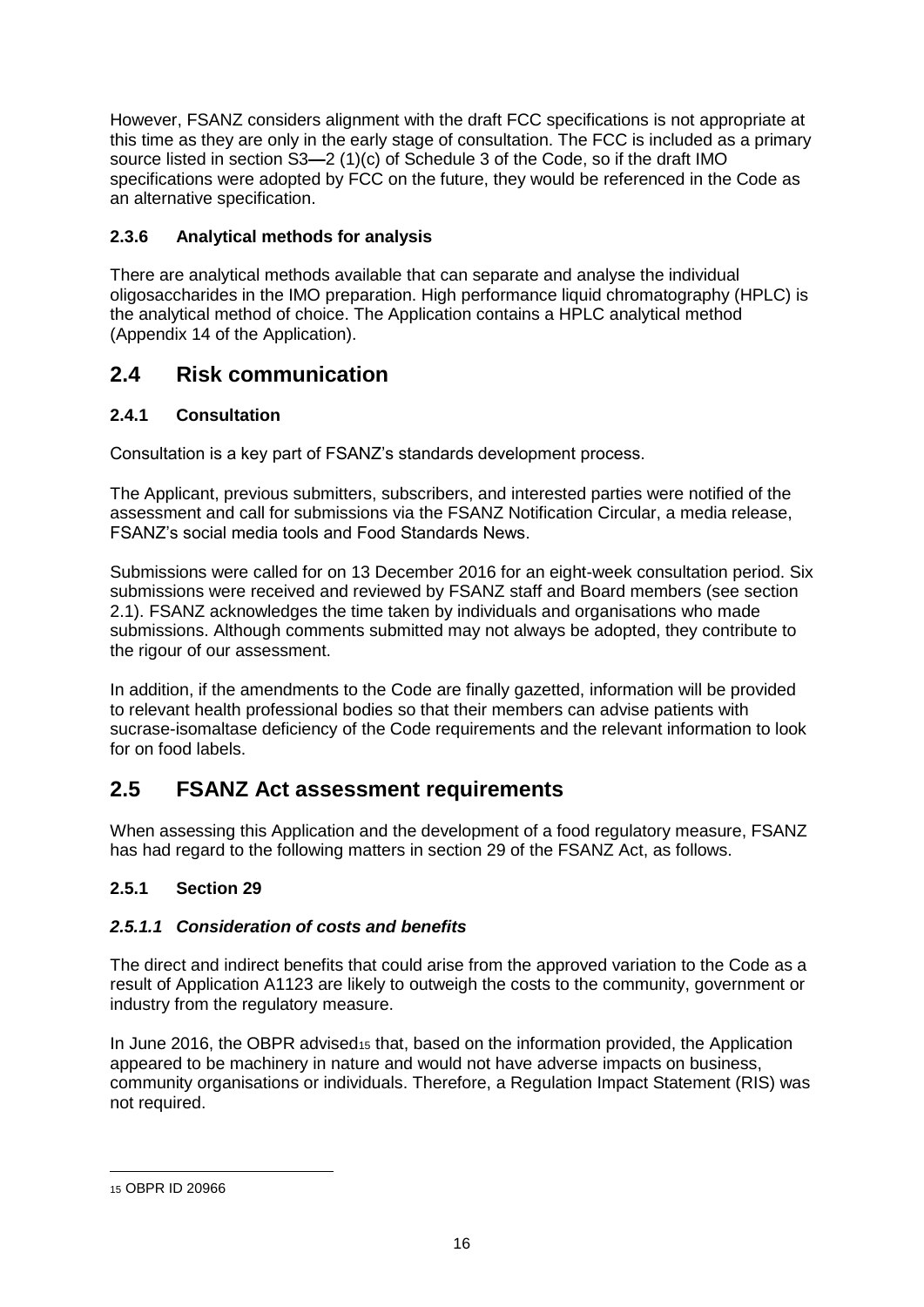However, FSANZ considers alignment with the draft FCC specifications is not appropriate at this time as they are only in the early stage of consultation. The FCC is included as a primary source listed in section S3**—**2 (1)(c) of Schedule 3 of the Code, so if the draft IMO specifications were adopted by FCC on the future, they would be referenced in the Code as an alternative specification.

### <span id="page-15-0"></span>**2.3.6 Analytical methods for analysis**

There are analytical methods available that can separate and analyse the individual oligosaccharides in the IMO preparation. High performance liquid chromatography (HPLC) is the analytical method of choice. The Application contains a HPLC analytical method (Appendix 14 of the Application).

### <span id="page-15-1"></span>**2.4 Risk communication**

### <span id="page-15-2"></span>**2.4.1 Consultation**

Consultation is a key part of FSANZ's standards development process.

The Applicant, previous submitters, subscribers, and interested parties were notified of the assessment and call for submissions via the FSANZ Notification Circular, a media release, FSANZ's social media tools and Food Standards News.

Submissions were called for on 13 December 2016 for an eight-week consultation period. Six submissions were received and reviewed by FSANZ staff and Board members (see section 2.1). FSANZ acknowledges the time taken by individuals and organisations who made submissions. Although comments submitted may not always be adopted, they contribute to the rigour of our assessment.

In addition, if the amendments to the Code are finally gazetted, information will be provided to relevant health professional bodies so that their members can advise patients with sucrase-isomaltase deficiency of the Code requirements and the relevant information to look for on food labels.

### <span id="page-15-3"></span>**2.5 FSANZ Act assessment requirements**

When assessing this Application and the development of a food regulatory measure, FSANZ has had regard to the following matters in section 29 of the FSANZ Act, as follows.

#### <span id="page-15-4"></span>**2.5.1 Section 29**

#### *2.5.1.1 Consideration of costs and benefits*

The direct and indirect benefits that could arise from the approved variation to the Code as a result of Application A1123 are likely to outweigh the costs to the community, government or industry from the regulatory measure.

In June 2016, the OBPR advised<sup>15</sup> that, based on the information provided, the Application appeared to be machinery in nature and would not have adverse impacts on business, community organisations or individuals. Therefore, a Regulation Impact Statement (RIS) was not required.

<sup>15</sup> OBPR ID 20966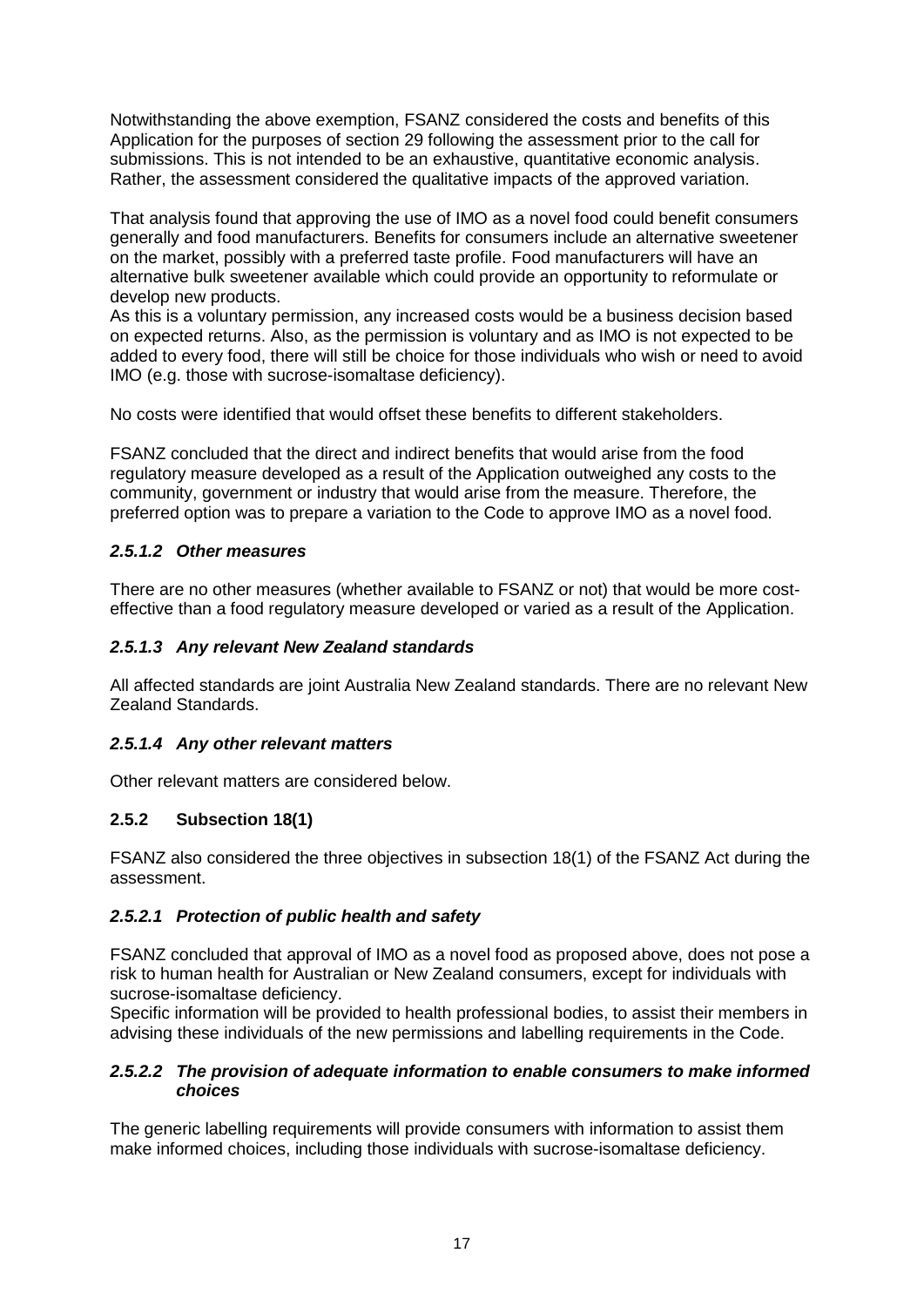Notwithstanding the above exemption, FSANZ considered the costs and benefits of this Application for the purposes of section 29 following the assessment prior to the call for submissions. This is not intended to be an exhaustive, quantitative economic analysis. Rather, the assessment considered the qualitative impacts of the approved variation.

That analysis found that approving the use of IMO as a novel food could benefit consumers generally and food manufacturers. Benefits for consumers include an alternative sweetener on the market, possibly with a preferred taste profile. Food manufacturers will have an alternative bulk sweetener available which could provide an opportunity to reformulate or develop new products.

As this is a voluntary permission, any increased costs would be a business decision based on expected returns. Also, as the permission is voluntary and as IMO is not expected to be added to every food, there will still be choice for those individuals who wish or need to avoid IMO (e.g. those with sucrose-isomaltase deficiency).

No costs were identified that would offset these benefits to different stakeholders.

FSANZ concluded that the direct and indirect benefits that would arise from the food regulatory measure developed as a result of the Application outweighed any costs to the community, government or industry that would arise from the measure. Therefore, the preferred option was to prepare a variation to the Code to approve IMO as a novel food.

#### *2.5.1.2 Other measures*

There are no other measures (whether available to FSANZ or not) that would be more costeffective than a food regulatory measure developed or varied as a result of the Application.

#### *2.5.1.3 Any relevant New Zealand standards*

All affected standards are joint Australia New Zealand standards. There are no relevant New Zealand Standards.

#### *2.5.1.4 Any other relevant matters*

<span id="page-16-0"></span>Other relevant matters are considered below.

#### **2.5.2 Subsection 18(1)**

FSANZ also considered the three objectives in subsection 18(1) of the FSANZ Act during the assessment.

#### *2.5.2.1 Protection of public health and safety*

FSANZ concluded that approval of IMO as a novel food as proposed above, does not pose a risk to human health for Australian or New Zealand consumers, except for individuals with sucrose-isomaltase deficiency.

Specific information will be provided to health professional bodies, to assist their members in advising these individuals of the new permissions and labelling requirements in the Code.

#### *2.5.2.2 The provision of adequate information to enable consumers to make informed choices*

The generic labelling requirements will provide consumers with information to assist them make informed choices, including those individuals with sucrose-isomaltase deficiency.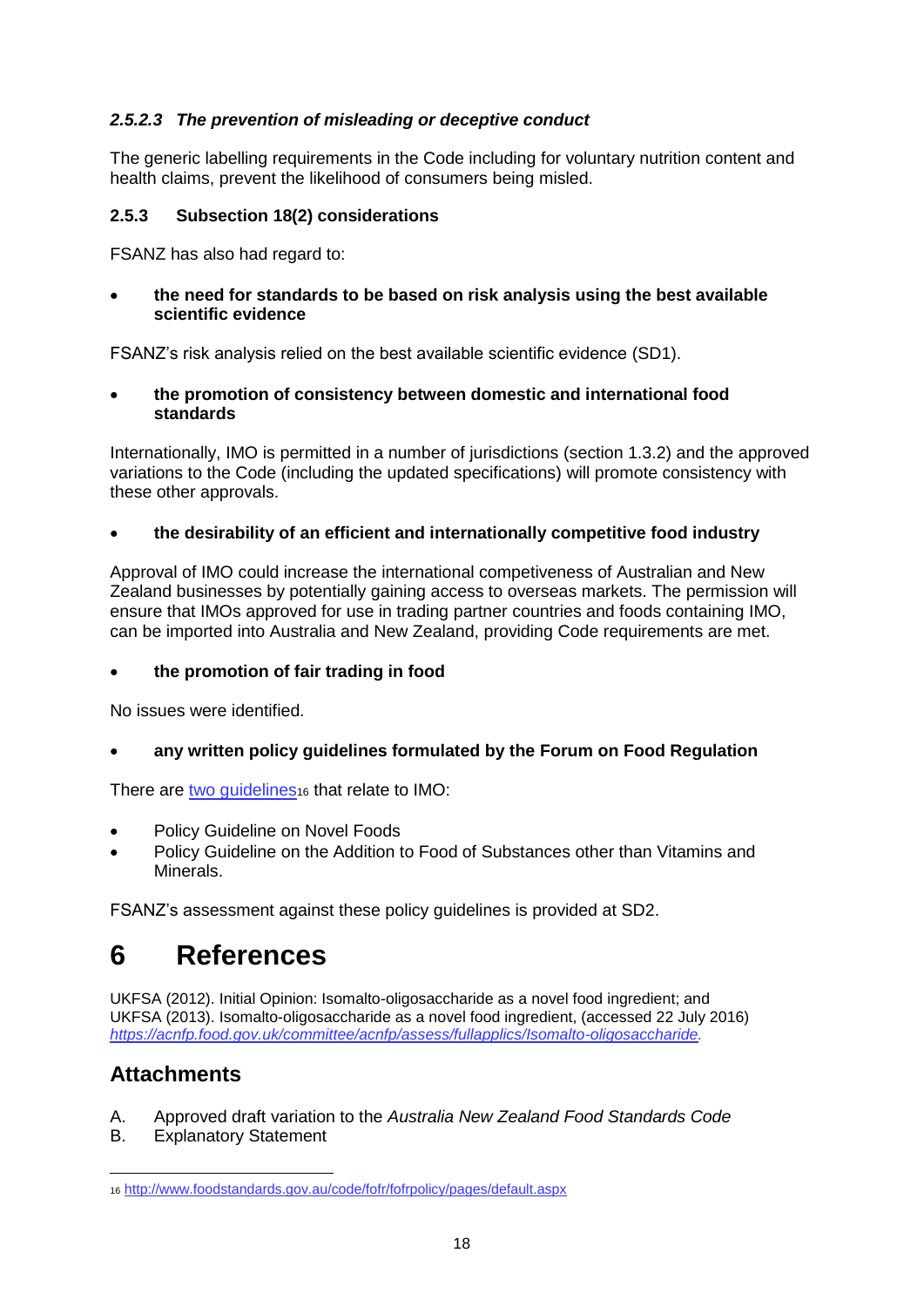#### *2.5.2.3 The prevention of misleading or deceptive conduct*

The generic labelling requirements in the Code including for voluntary nutrition content and health claims, prevent the likelihood of consumers being misled.

#### **2.5.3 Subsection 18(2) considerations**

FSANZ has also had regard to:

 **the need for standards to be based on risk analysis using the best available scientific evidence**

FSANZ's risk analysis relied on the best available scientific evidence (SD1).

 **the promotion of consistency between domestic and international food standards**

Internationally, IMO is permitted in a number of jurisdictions (section 1.3.2) and the approved variations to the Code (including the updated specifications) will promote consistency with these other approvals.

#### **the desirability of an efficient and internationally competitive food industry**

Approval of IMO could increase the international competiveness of Australian and New Zealand businesses by potentially gaining access to overseas markets. The permission will ensure that IMOs approved for use in trading partner countries and foods containing IMO, can be imported into Australia and New Zealand, providing Code requirements are met.

#### **the promotion of fair trading in food**

No issues were identified.

**any written policy guidelines formulated by the Forum on Food Regulation**

There are two quidelines<sub>16</sub> that relate to IMO:

- Policy Guideline on Novel Foods
- Policy Guideline on the Addition to Food of Substances other than Vitamins and Minerals.

<span id="page-17-0"></span>FSANZ's assessment against these policy guidelines is provided at SD2.

# **6 References**

UKFSA (2012). Initial Opinion: Isomalto-oligosaccharide as a novel food ingredient; and UKFSA (2013). Isomalto-oligosaccharide as a novel food ingredient, (accessed 22 July 2016) *[https://acnfp.food.gov.uk/committee/acnfp/assess/fullapplics/Isomalto-oligosaccharide.](https://acnfp.food.gov.uk/committee/acnfp/assess/fullapplics/Isomalto-oligosaccharide)*

### **Attachments**

- A. Approved draft variation to the *Australia New Zealand Food Standards Code*
- B. Explanatory Statement

 $\overline{a}$ <sup>16</sup> <http://www.foodstandards.gov.au/code/fofr/fofrpolicy/pages/default.aspx>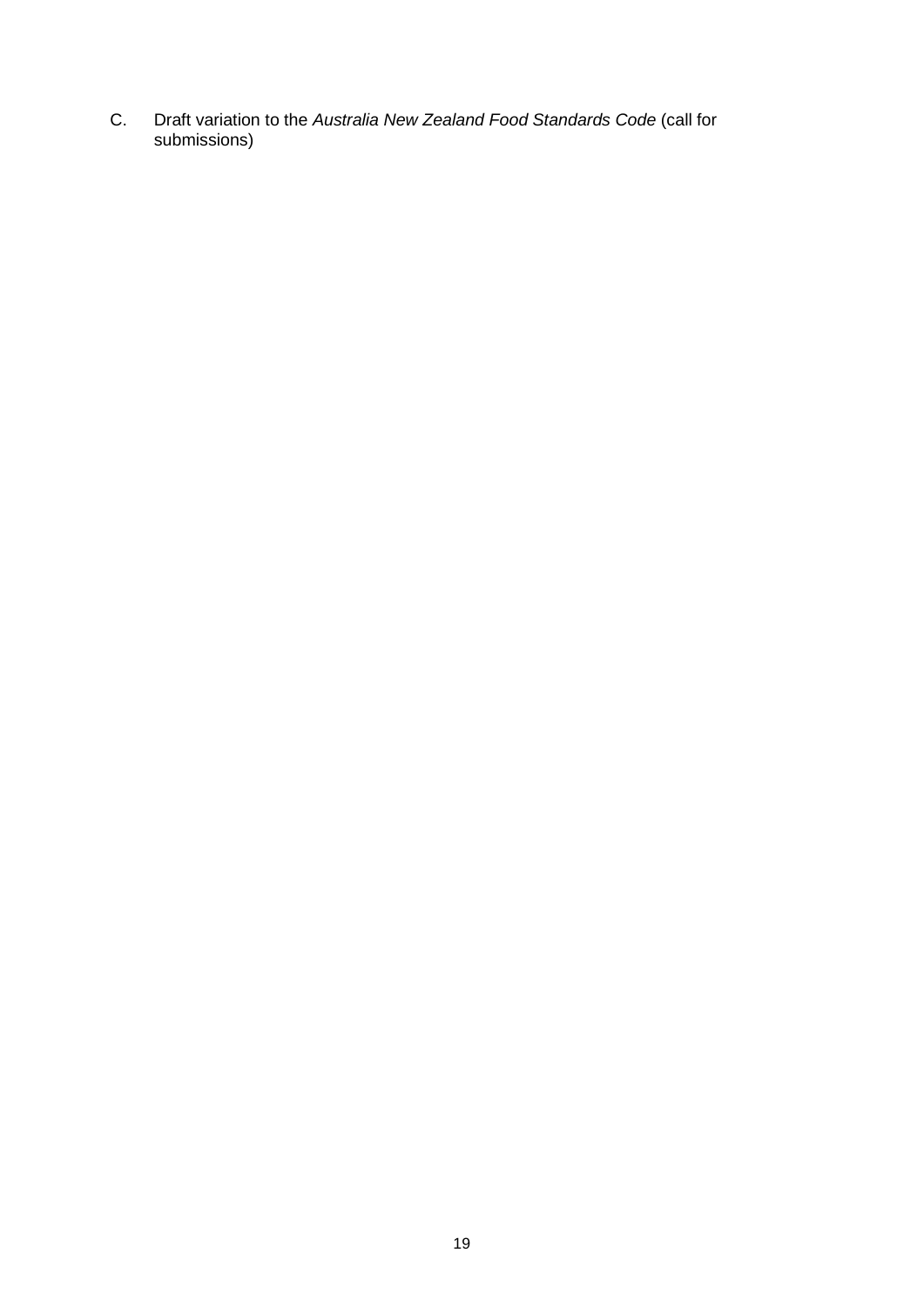C. Draft variation to the *Australia New Zealand Food Standards Code* (call for submissions)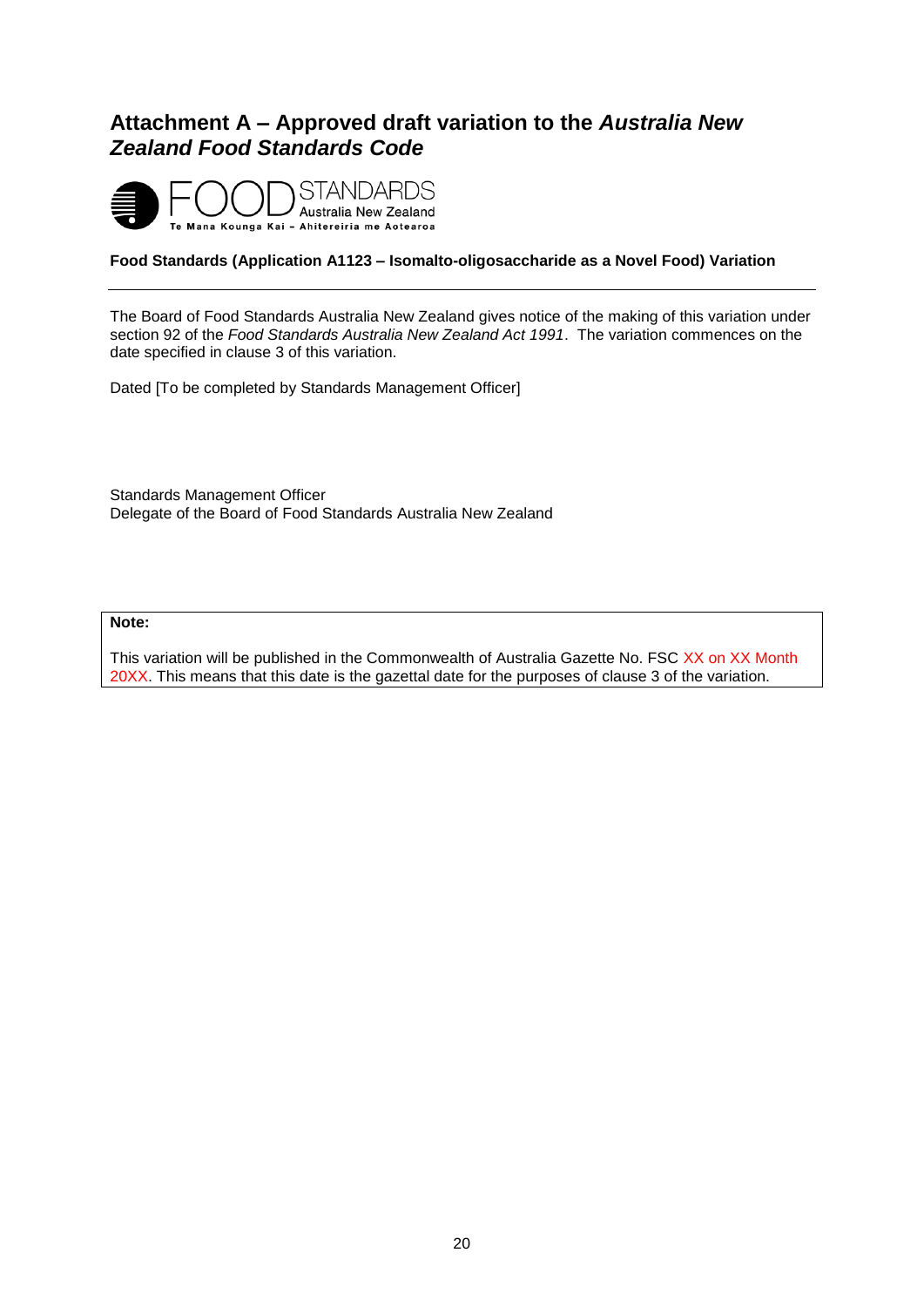### <span id="page-19-0"></span>**Attachment A – Approved draft variation to the** *Australia New Zealand Food Standards Code*



#### **Food Standards (Application A1123 – Isomalto-oligosaccharide as a Novel Food) Variation**

The Board of Food Standards Australia New Zealand gives notice of the making of this variation under section 92 of the *Food Standards Australia New Zealand Act 1991*. The variation commences on the date specified in clause 3 of this variation.

Dated [To be completed by Standards Management Officer]

Standards Management Officer Delegate of the Board of Food Standards Australia New Zealand

#### **Note:**

This variation will be published in the Commonwealth of Australia Gazette No. FSC XX on XX Month 20XX. This means that this date is the gazettal date for the purposes of clause 3 of the variation.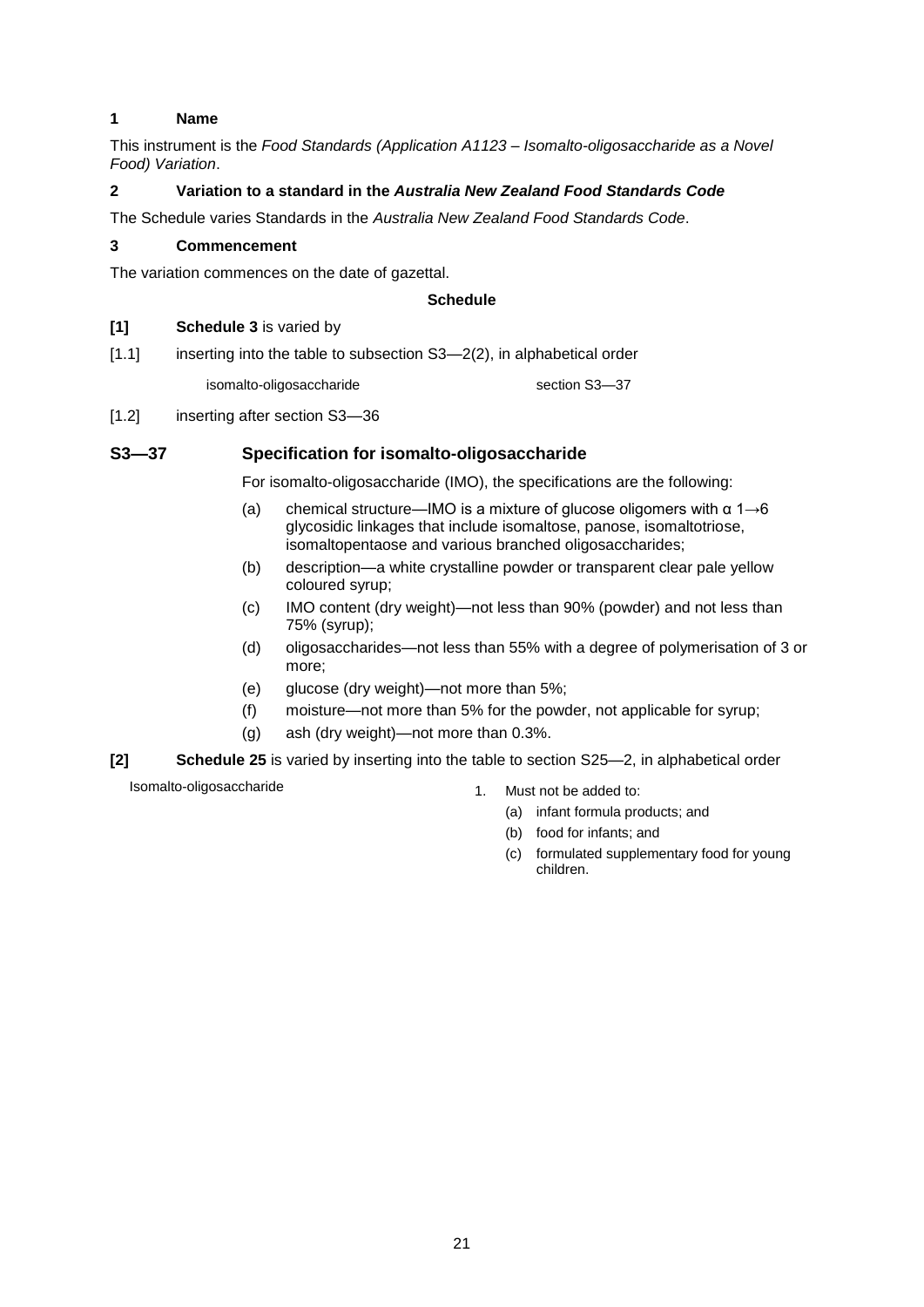#### **1 Name**

This instrument is the *Food Standards (Application A1123 – Isomalto-oligosaccharide as a Novel Food) Variation*.

#### **2 Variation to a standard in the** *Australia New Zealand Food Standards Code*

The Schedule varies Standards in the *Australia New Zealand Food Standards Code*.

#### **3 Commencement**

The variation commences on the date of gazettal.

#### **Schedule**

#### **[1] Schedule 3** is varied by

[1.1] inserting into the table to subsection S3-2(2), in alphabetical order

isomalto-oligosaccharide section S3-37

[1.2] inserting after section S3-36

#### **S3—37 Specification for isomalto-oligosaccharide**

For isomalto-oligosaccharide (IMO), the specifications are the following:

- (a) chemical structure—IMO is a mixture of glucose oligomers with  $\alpha$  1 $\rightarrow$ 6 glycosidic linkages that include isomaltose, panose, isomaltotriose, isomaltopentaose and various branched oligosaccharides;
- (b) description—a white crystalline powder or transparent clear pale yellow coloured syrup;
- (c) IMO content (dry weight)—not less than 90% (powder) and not less than 75% (syrup);
- (d) oligosaccharides—not less than 55% with a degree of polymerisation of 3 or more;
- (e) glucose (dry weight)—not more than 5%;
- (f) moisture—not more than 5% for the powder, not applicable for syrup;
- (g) ash (dry weight)—not more than 0.3%.
- **[2] Schedule 25** is varied by inserting into the table to section S25—2, in alphabetical order

Isomalto-oligosaccharide 1. Must not be added to:

- - (a) infant formula products; and
	- (b) food for infants; and
	- (c) formulated supplementary food for young children.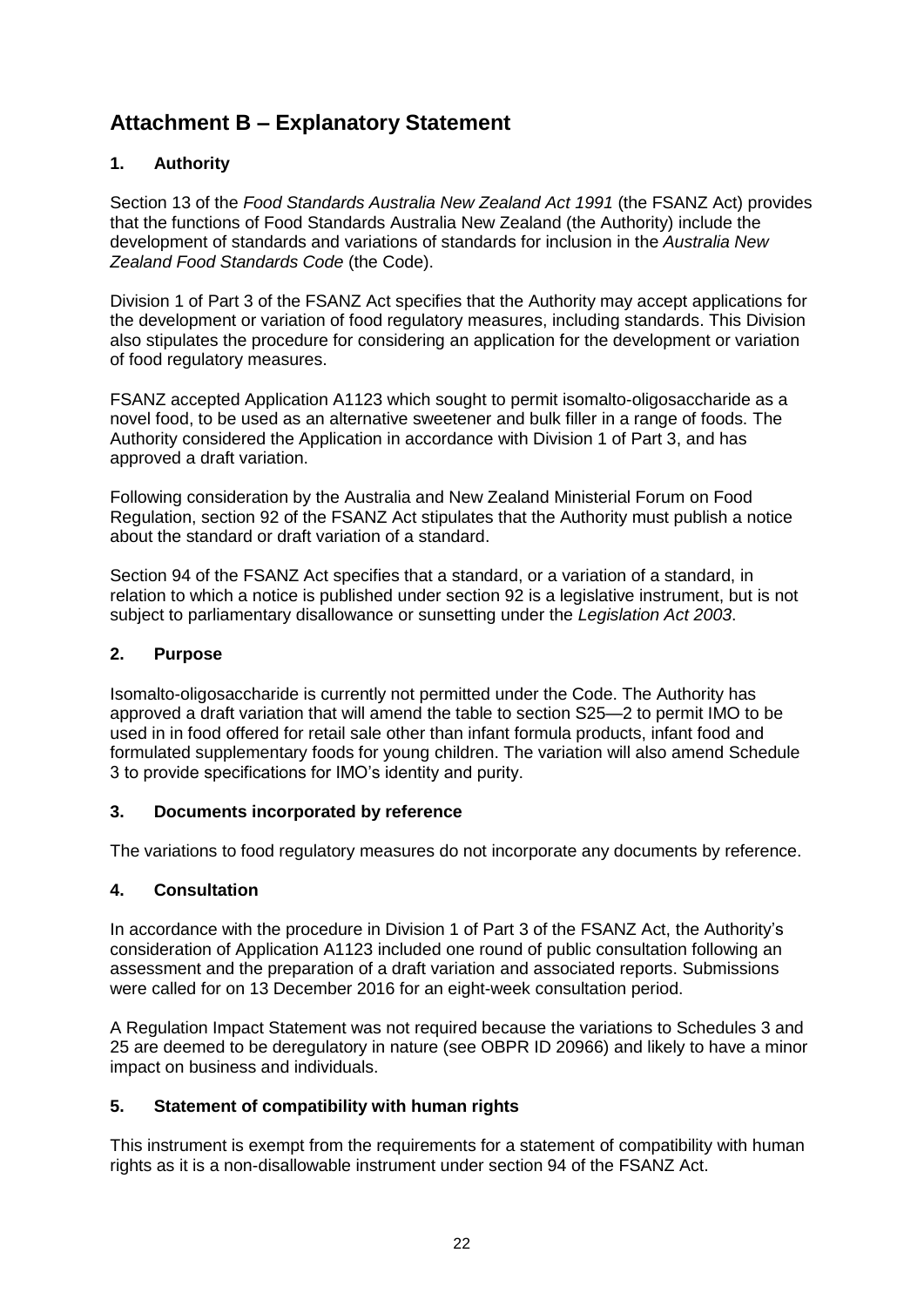### <span id="page-21-0"></span>**Attachment B – Explanatory Statement**

#### **1. Authority**

Section 13 of the *Food Standards Australia New Zealand Act 1991* (the FSANZ Act) provides that the functions of Food Standards Australia New Zealand (the Authority) include the development of standards and variations of standards for inclusion in the *Australia New Zealand Food Standards Code* (the Code).

Division 1 of Part 3 of the FSANZ Act specifies that the Authority may accept applications for the development or variation of food regulatory measures, including standards. This Division also stipulates the procedure for considering an application for the development or variation of food regulatory measures.

FSANZ accepted Application A1123 which sought to permit isomalto-oligosaccharide as a novel food, to be used as an alternative sweetener and bulk filler in a range of foods. The Authority considered the Application in accordance with Division 1 of Part 3, and has approved a draft variation.

Following consideration by the Australia and New Zealand Ministerial Forum on Food Regulation, section 92 of the FSANZ Act stipulates that the Authority must publish a notice about the standard or draft variation of a standard.

Section 94 of the FSANZ Act specifies that a standard, or a variation of a standard, in relation to which a notice is published under section 92 is a legislative instrument, but is not subject to parliamentary disallowance or sunsetting under the *Legislation Act 2003*.

#### **2. Purpose**

Isomalto-oligosaccharide is currently not permitted under the Code. The Authority has approved a draft variation that will amend the table to section S25—2 to permit IMO to be used in in food offered for retail sale other than infant formula products, infant food and formulated supplementary foods for young children. The variation will also amend Schedule 3 to provide specifications for IMO's identity and purity.

#### **3. Documents incorporated by reference**

The variations to food regulatory measures do not incorporate any documents by reference.

#### **4. Consultation**

In accordance with the procedure in Division 1 of Part 3 of the FSANZ Act, the Authority's consideration of Application A1123 included one round of public consultation following an assessment and the preparation of a draft variation and associated reports. Submissions were called for on 13 December 2016 for an eight-week consultation period.

A Regulation Impact Statement was not required because the variations to Schedules 3 and 25 are deemed to be deregulatory in nature (see OBPR ID 20966) and likely to have a minor impact on business and individuals.

#### **5. Statement of compatibility with human rights**

This instrument is exempt from the requirements for a statement of compatibility with human rights as it is a non-disallowable instrument under section 94 of the FSANZ Act.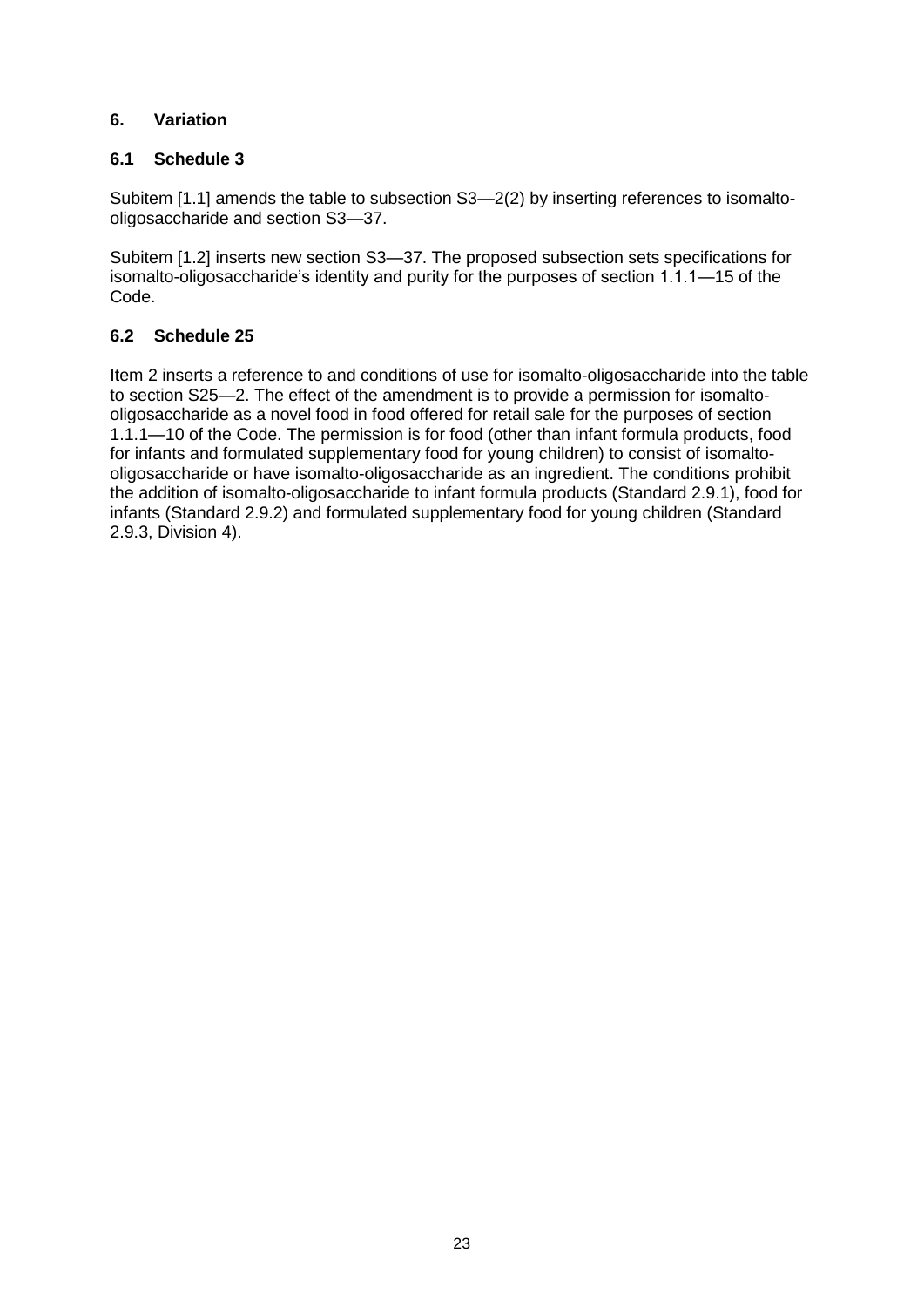#### **6. Variation**

#### **6.1 Schedule 3**

Subitem [1.1] amends the table to subsection S3—2(2) by inserting references to isomaltooligosaccharide and section S3—37.

Subitem [1.2] inserts new section S3—37. The proposed subsection sets specifications for isomalto-oligosaccharide's identity and purity for the purposes of section 1.1.1—15 of the Code.

#### **6.2 Schedule 25**

Item 2 inserts a reference to and conditions of use for isomalto-oligosaccharide into the table to section S25—2. The effect of the amendment is to provide a permission for isomaltooligosaccharide as a novel food in food offered for retail sale for the purposes of section 1.1.1—10 of the Code. The permission is for food (other than infant formula products, food for infants and formulated supplementary food for young children) to consist of isomaltooligosaccharide or have isomalto-oligosaccharide as an ingredient. The conditions prohibit the addition of isomalto-oligosaccharide to infant formula products (Standard 2.9.1), food for infants (Standard 2.9.2) and formulated supplementary food for young children (Standard 2.9.3, Division 4).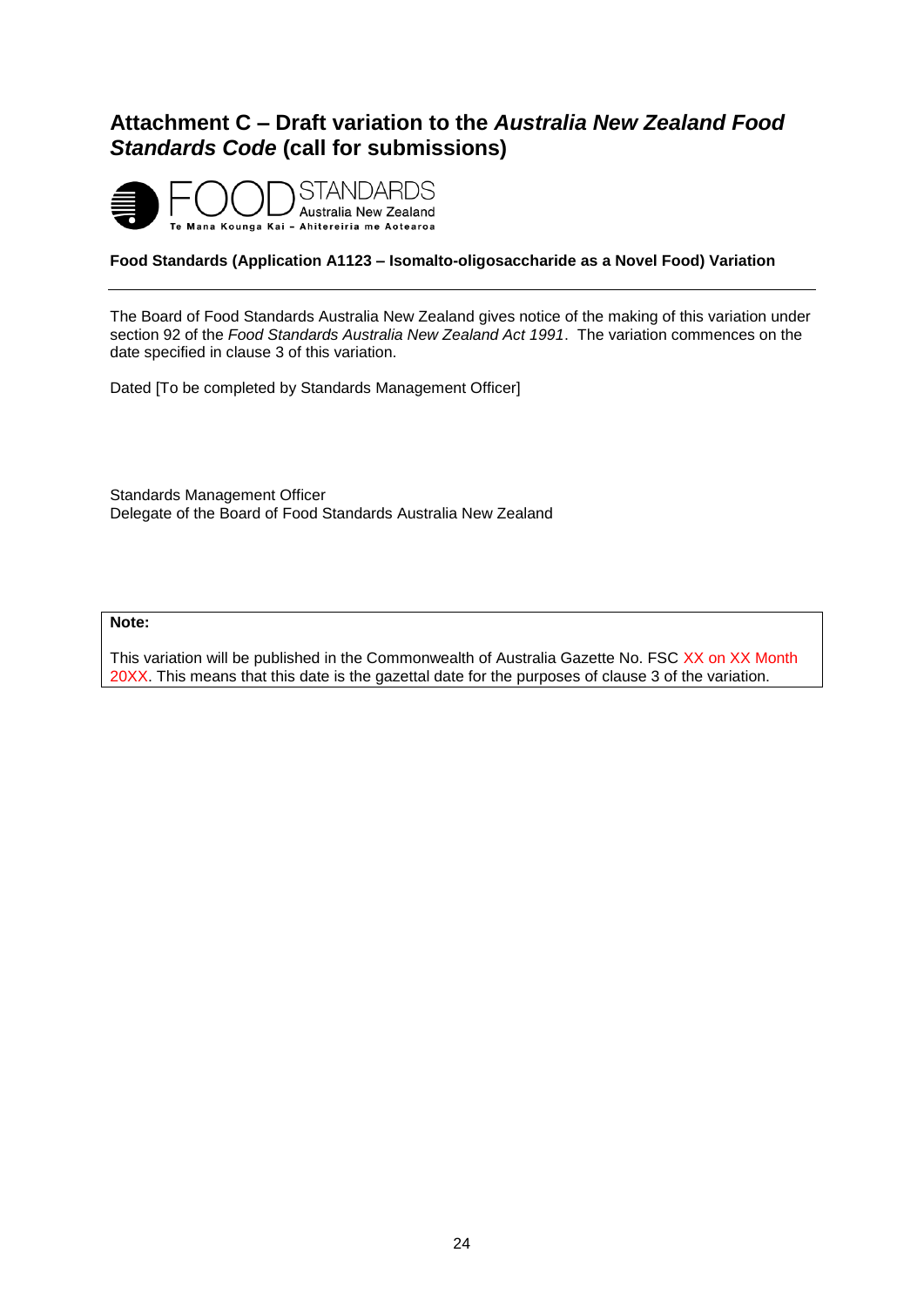### <span id="page-23-0"></span>**Attachment C – Draft variation to the** *Australia New Zealand Food Standards Code* **(call for submissions)**



#### **Food Standards (Application A1123 – Isomalto-oligosaccharide as a Novel Food) Variation**

The Board of Food Standards Australia New Zealand gives notice of the making of this variation under section 92 of the *Food Standards Australia New Zealand Act 1991*. The variation commences on the date specified in clause 3 of this variation.

Dated [To be completed by Standards Management Officer]

Standards Management Officer Delegate of the Board of Food Standards Australia New Zealand

#### **Note:**

This variation will be published in the Commonwealth of Australia Gazette No. FSC XX on XX Month 20XX. This means that this date is the gazettal date for the purposes of clause 3 of the variation.